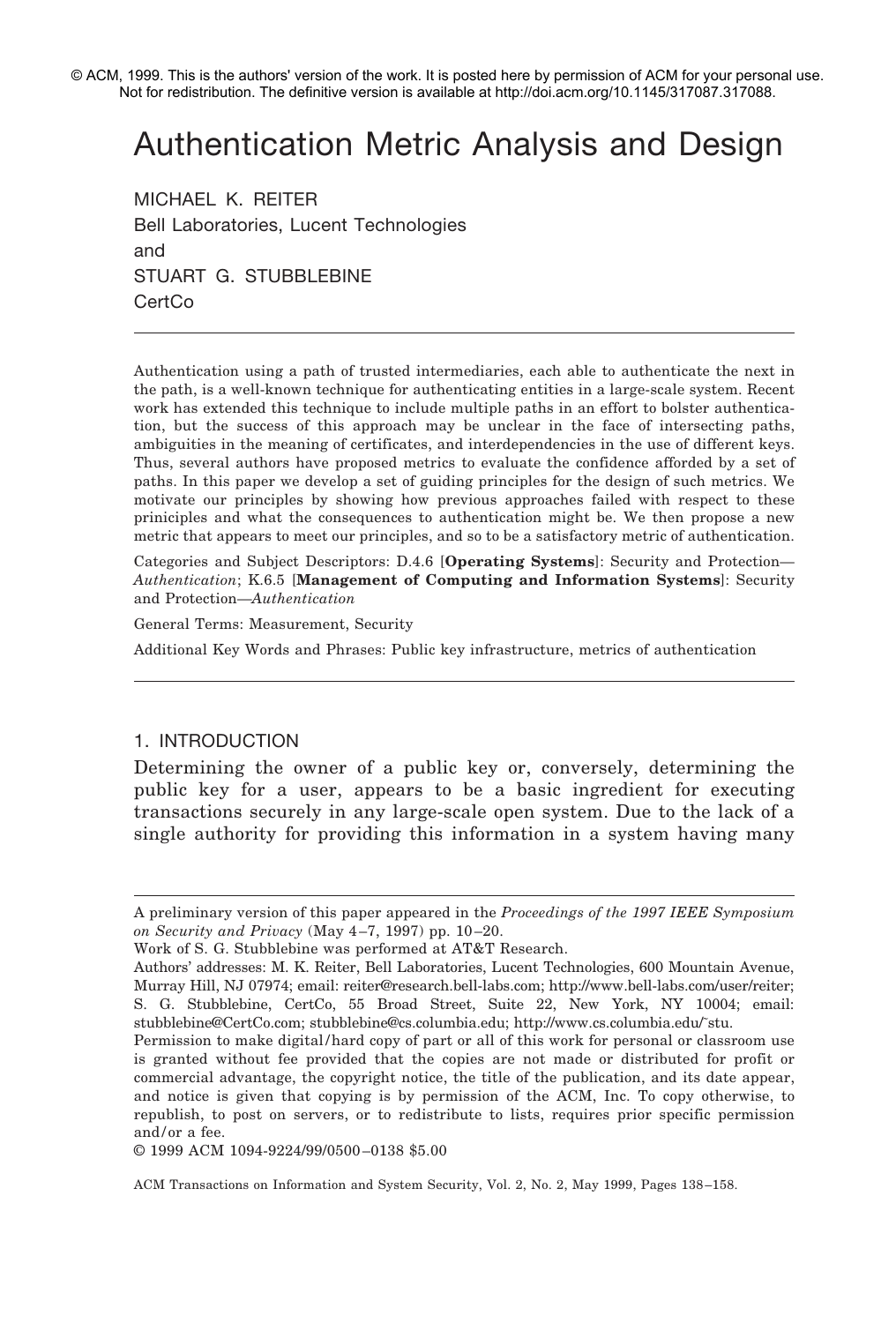© ACM, 1999. This is the authors' version of the work. It is posted here by permission of ACM for your personal use. Not for redistribution. The definitive version is available at http://doi.acm.org/10.1145/317087.317088.

# Authentication Metric Analysis and Design

MICHAEL K. REITER Bell Laboratories, Lucent Technologies and STUART G. STUBBLEBINE CertCo

Authentication using a path of trusted intermediaries, each able to authenticate the next in the path, is a well-known technique for authenticating entities in a large-scale system. Recent work has extended this technique to include multiple paths in an effort to bolster authentication, but the success of this approach may be unclear in the face of intersecting paths, ambiguities in the meaning of certificates, and interdependencies in the use of different keys. Thus, several authors have proposed metrics to evaluate the confidence afforded by a set of paths. In this paper we develop a set of guiding principles for the design of such metrics. We motivate our principles by showing how previous approaches failed with respect to these priniciples and what the consequences to authentication might be. We then propose a new metric that appears to meet our principles, and so to be a satisfactory metric of authentication.

Categories and Subject Descriptors: D.4.6 [**Operating Systems**]: Security and Protection— *Authentication*; K.6.5 [**Management of Computing and Information Systems**]: Security and Protection—*Authentication*

General Terms: Measurement, Security

Additional Key Words and Phrases: Public key infrastructure, metrics of authentication

## 1. INTRODUCTION

Determining the owner of a public key or, conversely, determining the public key for a user, appears to be a basic ingredient for executing transactions securely in any large-scale open system. Due to the lack of a single authority for providing this information in a system having many

A preliminary version of this paper appeared in the *Proceedings of the 1997 IEEE Symposium on Security and Privacy* (May 4–7, 1997) pp. 10–20.

Work of S. G. Stubblebine was performed at AT&T Research.

Authors' addresses: M. K. Reiter, Bell Laboratories, Lucent Technologies, 600 Mountain Avenue, Murray Hill, NJ 07974; email: reiter@research.bell-labs.com; http://www.bell-labs.com/user/reiter; S. G. Stubblebine, CertCo, 55 Broad Street, Suite 22, New York, NY 10004; email: stubblebine@CertCo.com; stubblebine@cs.columbia.edu; http://www.cs.columbia.edu/˜stu.

Permission to make digital/hard copy of part or all of this work for personal or classroom use is granted without fee provided that the copies are not made or distributed for profit or commercial advantage, the copyright notice, the title of the publication, and its date appear, and notice is given that copying is by permission of the ACM, Inc. To copy otherwise, to republish, to post on servers, or to redistribute to lists, requires prior specific permission and/or a fee.

<sup>© 1999</sup> ACM 1094-9224/99/0500–0138 \$5.00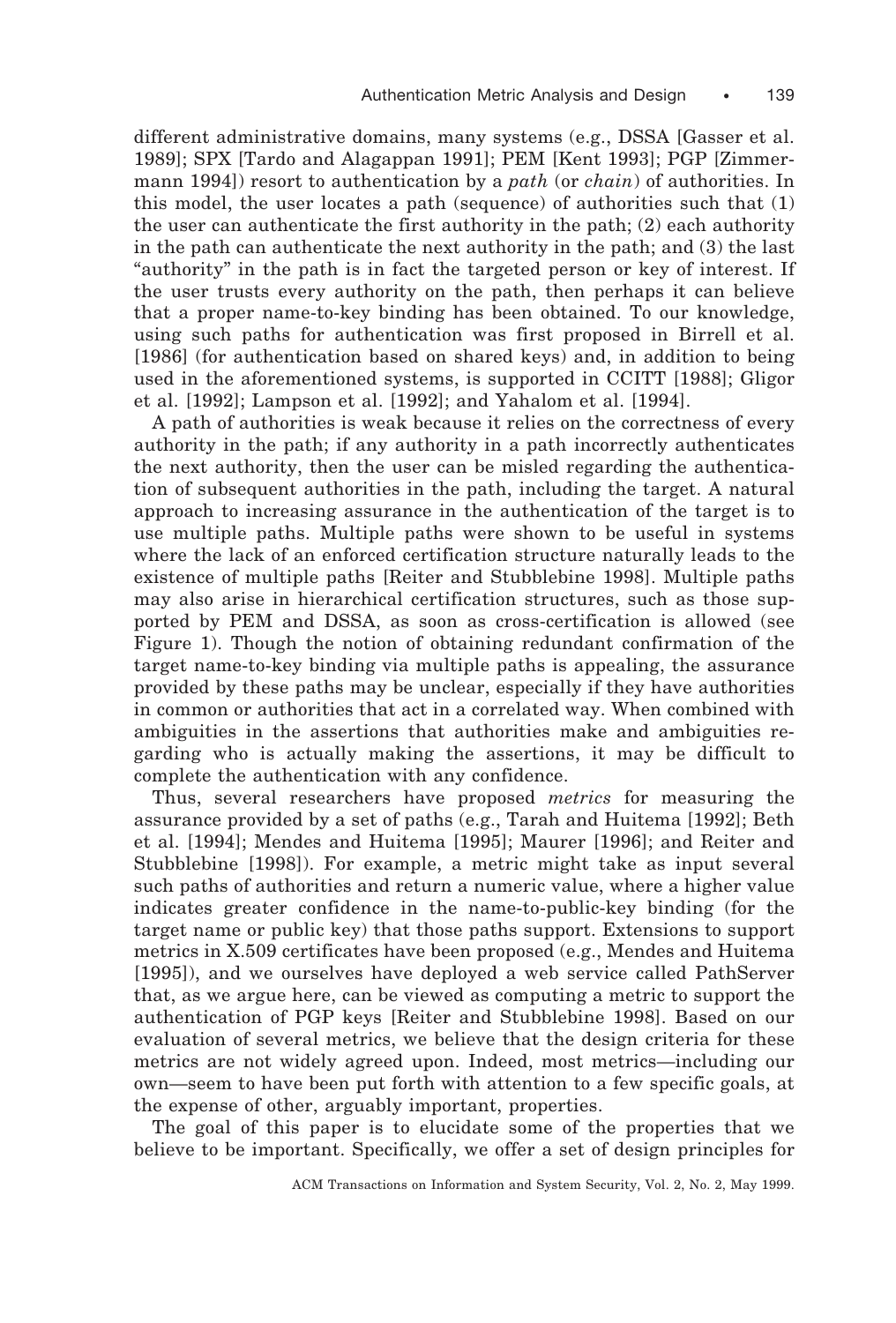different administrative domains, many systems (e.g., DSSA [Gasser et al. 1989]; SPX [Tardo and Alagappan 1991]; PEM [Kent 1993]; PGP [Zimmermann 1994]) resort to authentication by a *path* (or *chain*) of authorities. In this model, the user locates a path (sequence) of authorities such that (1) the user can authenticate the first authority in the path; (2) each authority in the path can authenticate the next authority in the path; and (3) the last "authority" in the path is in fact the targeted person or key of interest. If the user trusts every authority on the path, then perhaps it can believe that a proper name-to-key binding has been obtained. To our knowledge, using such paths for authentication was first proposed in Birrell et al. [1986] (for authentication based on shared keys) and, in addition to being used in the aforementioned systems, is supported in CCITT [1988]; Gligor et al. [1992]; Lampson et al. [1992]; and Yahalom et al. [1994].

A path of authorities is weak because it relies on the correctness of every authority in the path; if any authority in a path incorrectly authenticates the next authority, then the user can be misled regarding the authentication of subsequent authorities in the path, including the target. A natural approach to increasing assurance in the authentication of the target is to use multiple paths. Multiple paths were shown to be useful in systems where the lack of an enforced certification structure naturally leads to the existence of multiple paths [Reiter and Stubblebine 1998]. Multiple paths may also arise in hierarchical certification structures, such as those supported by PEM and DSSA, as soon as cross-certification is allowed (see Figure 1). Though the notion of obtaining redundant confirmation of the target name-to-key binding via multiple paths is appealing, the assurance provided by these paths may be unclear, especially if they have authorities in common or authorities that act in a correlated way. When combined with ambiguities in the assertions that authorities make and ambiguities regarding who is actually making the assertions, it may be difficult to complete the authentication with any confidence.

Thus, several researchers have proposed *metrics* for measuring the assurance provided by a set of paths (e.g., Tarah and Huitema [1992]; Beth et al. [1994]; Mendes and Huitema [1995]; Maurer [1996]; and Reiter and Stubblebine [1998]). For example, a metric might take as input several such paths of authorities and return a numeric value, where a higher value indicates greater confidence in the name-to-public-key binding (for the target name or public key) that those paths support. Extensions to support metrics in X.509 certificates have been proposed (e.g., Mendes and Huitema [1995]), and we ourselves have deployed a web service called PathServer that, as we argue here, can be viewed as computing a metric to support the authentication of PGP keys [Reiter and Stubblebine 1998]. Based on our evaluation of several metrics, we believe that the design criteria for these metrics are not widely agreed upon. Indeed, most metrics—including our own—seem to have been put forth with attention to a few specific goals, at the expense of other, arguably important, properties.

The goal of this paper is to elucidate some of the properties that we believe to be important. Specifically, we offer a set of design principles for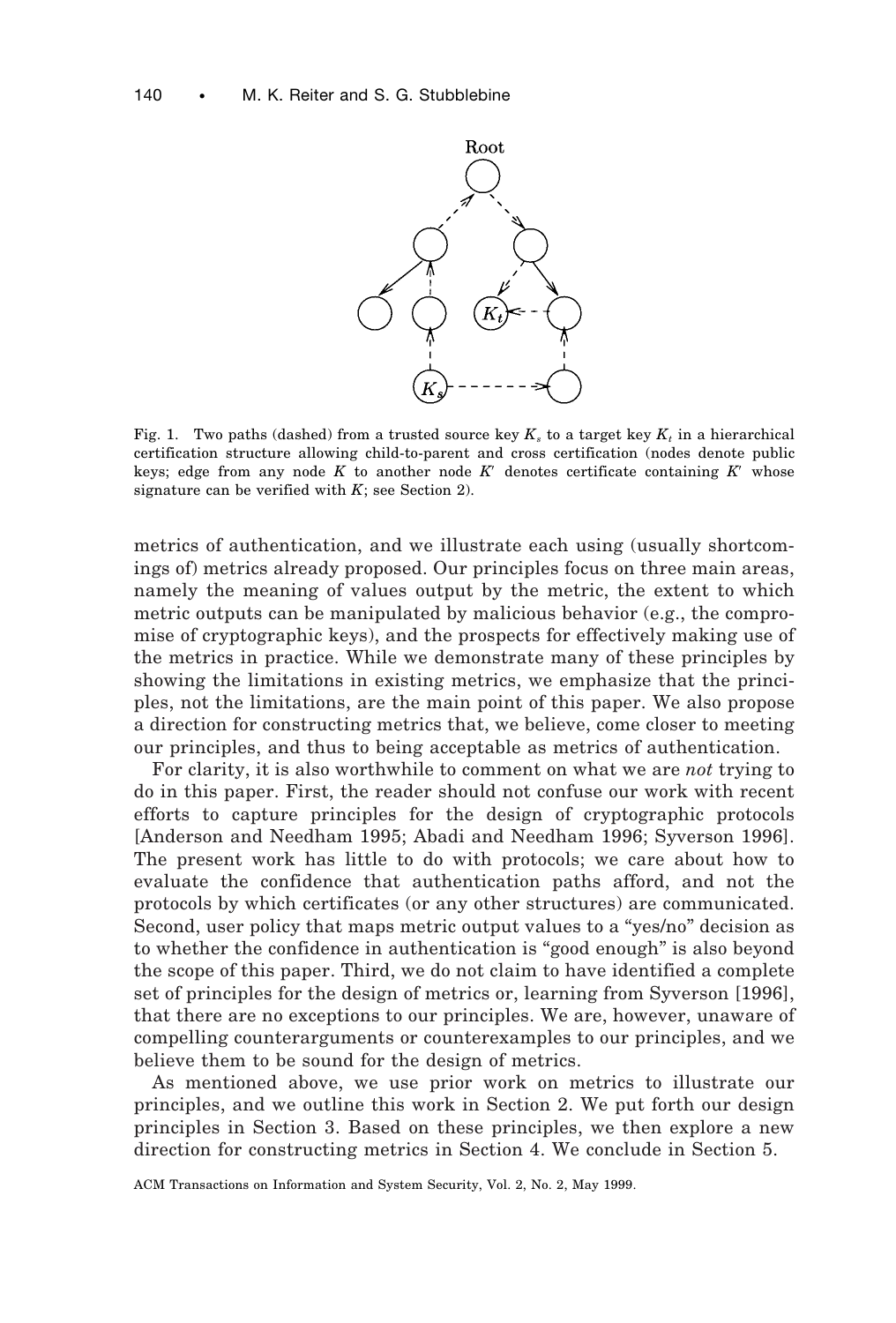

Fig. 1. Two paths (dashed) from a trusted source key  $K_s$  to a target key  $K_t$  in a hierarchical certification structure allowing child-to-parent and cross certification (nodes denote public keys; edge from any node  $K$  to another node  $K'$  denotes certificate containing  $K'$  whose signature can be verified with *K*; see Section 2).

metrics of authentication, and we illustrate each using (usually shortcomings of) metrics already proposed. Our principles focus on three main areas, namely the meaning of values output by the metric, the extent to which metric outputs can be manipulated by malicious behavior (e.g., the compromise of cryptographic keys), and the prospects for effectively making use of the metrics in practice. While we demonstrate many of these principles by showing the limitations in existing metrics, we emphasize that the principles, not the limitations, are the main point of this paper. We also propose a direction for constructing metrics that, we believe, come closer to meeting our principles, and thus to being acceptable as metrics of authentication.

For clarity, it is also worthwhile to comment on what we are *not* trying to do in this paper. First, the reader should not confuse our work with recent efforts to capture principles for the design of cryptographic protocols [Anderson and Needham 1995; Abadi and Needham 1996; Syverson 1996]. The present work has little to do with protocols; we care about how to evaluate the confidence that authentication paths afford, and not the protocols by which certificates (or any other structures) are communicated. Second, user policy that maps metric output values to a "yes/no" decision as to whether the confidence in authentication is "good enough" is also beyond the scope of this paper. Third, we do not claim to have identified a complete set of principles for the design of metrics or, learning from Syverson [1996], that there are no exceptions to our principles. We are, however, unaware of compelling counterarguments or counterexamples to our principles, and we believe them to be sound for the design of metrics.

As mentioned above, we use prior work on metrics to illustrate our principles, and we outline this work in Section 2. We put forth our design principles in Section 3. Based on these principles, we then explore a new direction for constructing metrics in Section 4. We conclude in Section 5.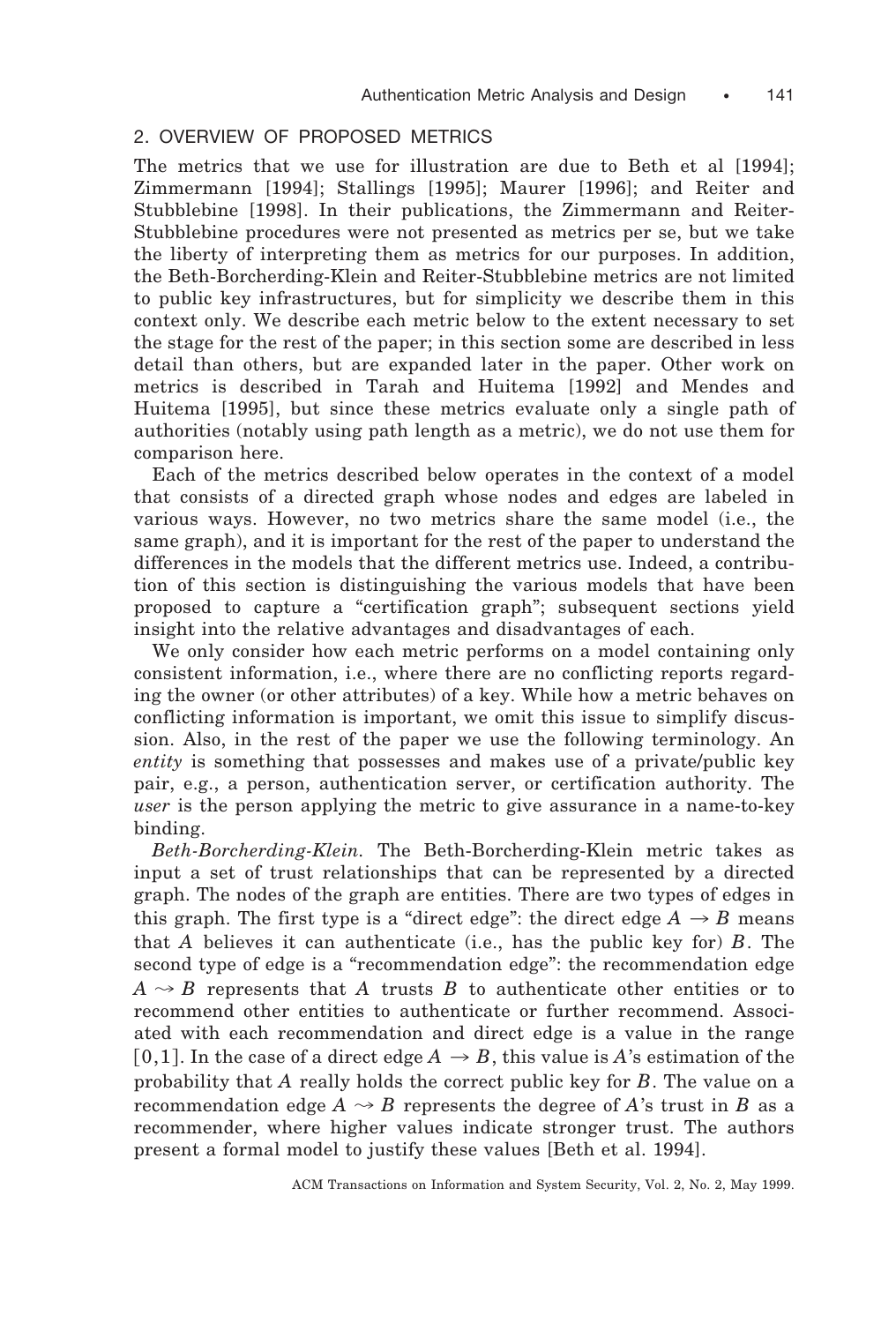## 2. OVERVIEW OF PROPOSED METRICS

The metrics that we use for illustration are due to Beth et al [1994]; Zimmermann [1994]; Stallings [1995]; Maurer [1996]; and Reiter and Stubblebine [1998]. In their publications, the Zimmermann and Reiter-Stubblebine procedures were not presented as metrics per se, but we take the liberty of interpreting them as metrics for our purposes. In addition, the Beth-Borcherding-Klein and Reiter-Stubblebine metrics are not limited to public key infrastructures, but for simplicity we describe them in this context only. We describe each metric below to the extent necessary to set the stage for the rest of the paper; in this section some are described in less detail than others, but are expanded later in the paper. Other work on metrics is described in Tarah and Huitema [1992] and Mendes and Huitema [1995], but since these metrics evaluate only a single path of authorities (notably using path length as a metric), we do not use them for comparison here.

Each of the metrics described below operates in the context of a model that consists of a directed graph whose nodes and edges are labeled in various ways. However, no two metrics share the same model (i.e., the same graph), and it is important for the rest of the paper to understand the differences in the models that the different metrics use. Indeed, a contribution of this section is distinguishing the various models that have been proposed to capture a "certification graph"; subsequent sections yield insight into the relative advantages and disadvantages of each.

We only consider how each metric performs on a model containing only consistent information, i.e., where there are no conflicting reports regarding the owner (or other attributes) of a key. While how a metric behaves on conflicting information is important, we omit this issue to simplify discussion. Also, in the rest of the paper we use the following terminology. An *entity* is something that possesses and makes use of a private/public key pair, e.g., a person, authentication server, or certification authority. The *user* is the person applying the metric to give assurance in a name-to-key binding.

*Beth-Borcherding-Klein.* The Beth-Borcherding-Klein metric takes as input a set of trust relationships that can be represented by a directed graph. The nodes of the graph are entities. There are two types of edges in this graph. The first type is a "direct edge": the direct edge  $A \rightarrow B$  means that *A* believes it can authenticate (i.e., has the public key for) *B*. The second type of edge is a "recommendation edge": the recommendation edge  $A \rightarrow B$  represents that A trusts B to authenticate other entities or to recommend other entities to authenticate or further recommend. Associated with each recommendation and direct edge is a value in the range [0,1]. In the case of a direct edge  $A \rightarrow B$ , this value is *A*'s estimation of the probability that *A* really holds the correct public key for *B*. The value on a recommendation edge  $A \rightarrow B$  represents the degree of A's trust in B as a recommender, where higher values indicate stronger trust. The authors present a formal model to justify these values [Beth et al. 1994].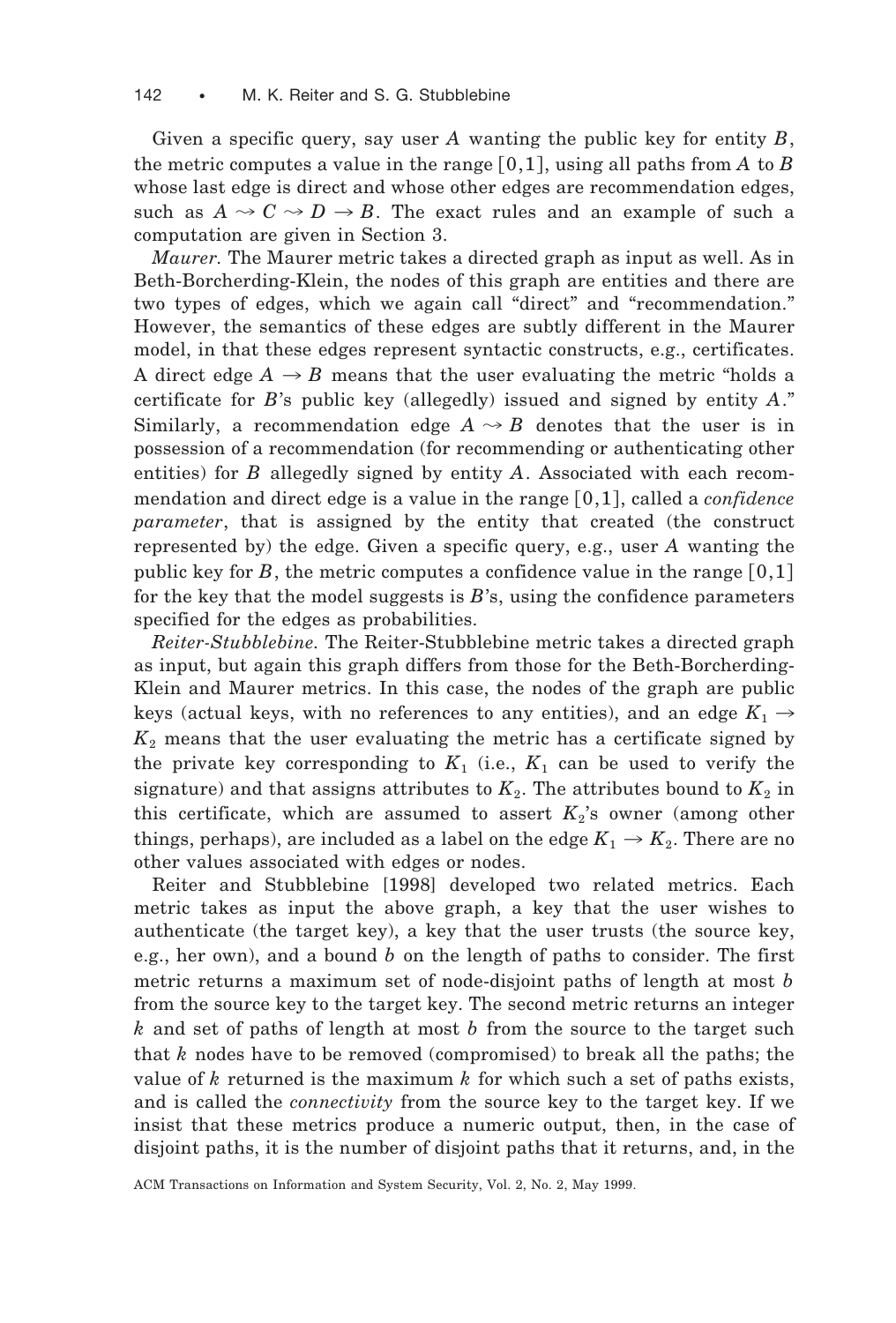Given a specific query, say user *A* wanting the public key for entity *B*, the metric computes a value in the range  $[0,1]$ , using all paths from *A* to *B* whose last edge is direct and whose other edges are recommendation edges, such as  $A \sim C \sim D \rightarrow B$ . The exact rules and an example of such a computation are given in Section 3.

*Maurer.* The Maurer metric takes a directed graph as input as well. As in Beth-Borcherding-Klein, the nodes of this graph are entities and there are two types of edges, which we again call "direct" and "recommendation." However, the semantics of these edges are subtly different in the Maurer model, in that these edges represent syntactic constructs, e.g., certificates. A direct edge  $A \rightarrow B$  means that the user evaluating the metric "holds a certificate for *B*'s public key (allegedly) issued and signed by entity *A*." Similarly, a recommendation edge  $A \rightarrow B$  denotes that the user is in possession of a recommendation (for recommending or authenticating other entities) for *B* allegedly signed by entity *A*. Associated with each recommendation and direct edge is a value in the range  $[0,1]$ , called a *confidence parameter*, that is assigned by the entity that created (the construct represented by) the edge. Given a specific query, e.g., user *A* wanting the public key for *B*, the metric computes a confidence value in the range  $[0,1]$ for the key that the model suggests is *B*'s, using the confidence parameters specified for the edges as probabilities.

*Reiter-Stubblebine.* The Reiter-Stubblebine metric takes a directed graph as input, but again this graph differs from those for the Beth-Borcherding-Klein and Maurer metrics. In this case, the nodes of the graph are public keys (actual keys, with no references to any entities), and an edge  $K_1 \rightarrow$ *K*<sup>2</sup> means that the user evaluating the metric has a certificate signed by the private key corresponding to  $K_1$  (i.e.,  $K_1$  can be used to verify the signature) and that assigns attributes to  $K_2$ . The attributes bound to  $K_2$  in this certificate, which are assumed to assert  $K_2$ 's owner (among other things, perhaps), are included as a label on the edge  $K_1 \rightarrow K_2$ . There are no other values associated with edges or nodes.

Reiter and Stubblebine [1998] developed two related metrics. Each metric takes as input the above graph, a key that the user wishes to authenticate (the target key), a key that the user trusts (the source key, e.g., her own), and a bound *b* on the length of paths to consider. The first metric returns a maximum set of node-disjoint paths of length at most *b* from the source key to the target key. The second metric returns an integer *k* and set of paths of length at most *b* from the source to the target such that *k* nodes have to be removed (compromised) to break all the paths; the value of *k* returned is the maximum *k* for which such a set of paths exists, and is called the *connectivity* from the source key to the target key. If we insist that these metrics produce a numeric output, then, in the case of disjoint paths, it is the number of disjoint paths that it returns, and, in the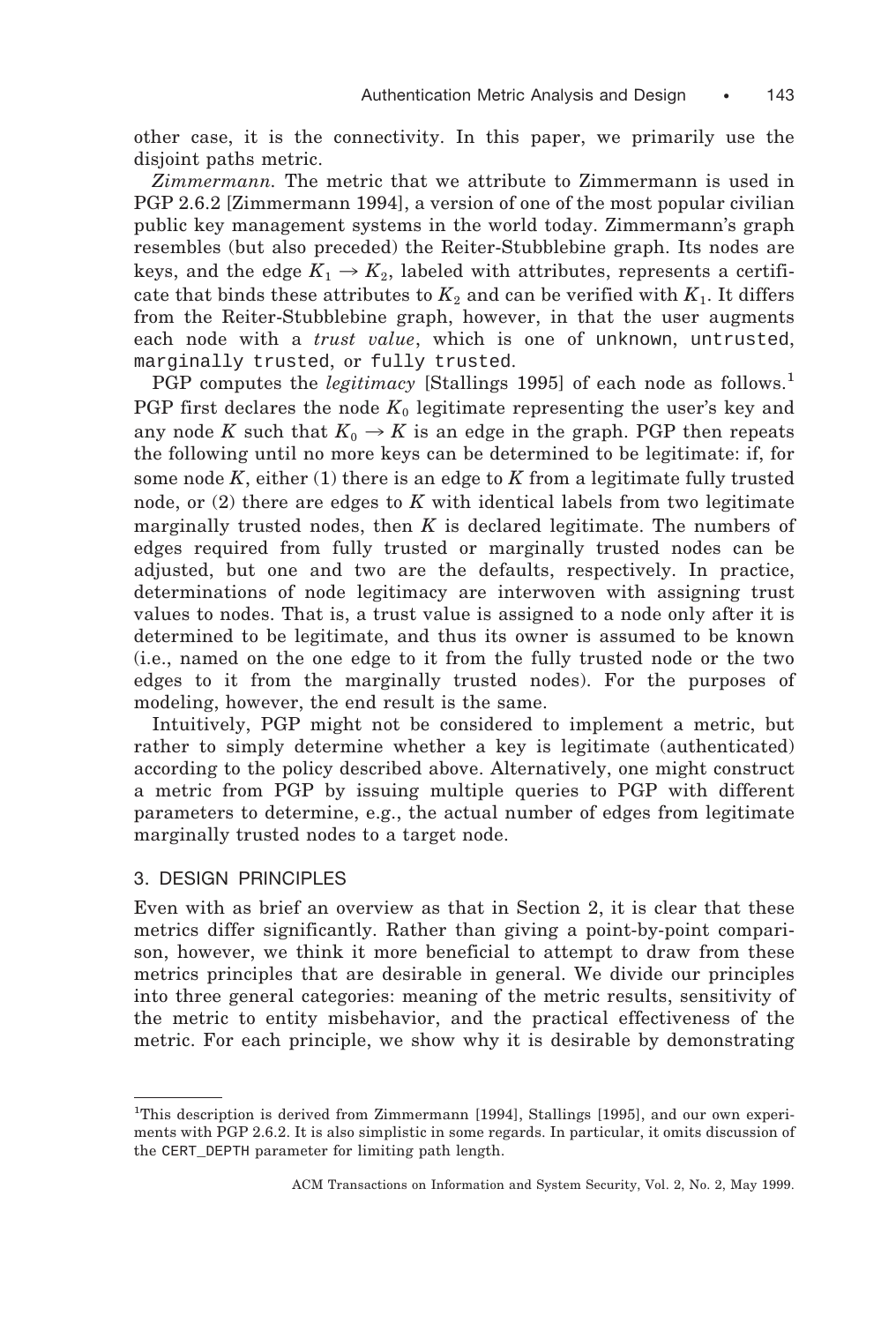other case, it is the connectivity. In this paper, we primarily use the disjoint paths metric.

*Zimmermann.* The metric that we attribute to Zimmermann is used in PGP 2.6.2 [Zimmermann 1994], a version of one of the most popular civilian public key management systems in the world today. Zimmermann's graph resembles (but also preceded) the Reiter-Stubblebine graph. Its nodes are keys, and the edge  $K_1 \rightarrow K_2$ , labeled with attributes, represents a certificate that binds these attributes to  $K_2$  and can be verified with  $K_1$ . It differs from the Reiter-Stubblebine graph, however, in that the user augments each node with a *trust value*, which is one of unknown, untrusted, marginally trusted, or fully trusted.

PGP computes the *legitimacy* [Stallings 1995] of each node as follows.<sup>1</sup> PGP first declares the node  $K_0$  legitimate representing the user's key and any node K such that  $K_0 \rightarrow K$  is an edge in the graph. PGP then repeats the following until no more keys can be determined to be legitimate: if, for some node  $K$ , either (1) there is an edge to  $K$  from a legitimate fully trusted node, or (2) there are edges to *K* with identical labels from two legitimate marginally trusted nodes, then *K* is declared legitimate. The numbers of edges required from fully trusted or marginally trusted nodes can be adjusted, but one and two are the defaults, respectively. In practice, determinations of node legitimacy are interwoven with assigning trust values to nodes. That is, a trust value is assigned to a node only after it is determined to be legitimate, and thus its owner is assumed to be known (i.e., named on the one edge to it from the fully trusted node or the two edges to it from the marginally trusted nodes). For the purposes of modeling, however, the end result is the same.

Intuitively, PGP might not be considered to implement a metric, but rather to simply determine whether a key is legitimate (authenticated) according to the policy described above. Alternatively, one might construct a metric from PGP by issuing multiple queries to PGP with different parameters to determine, e.g., the actual number of edges from legitimate marginally trusted nodes to a target node.

### 3. DESIGN PRINCIPLES

Even with as brief an overview as that in Section 2, it is clear that these metrics differ significantly. Rather than giving a point-by-point comparison, however, we think it more beneficial to attempt to draw from these metrics principles that are desirable in general. We divide our principles into three general categories: meaning of the metric results, sensitivity of the metric to entity misbehavior, and the practical effectiveness of the metric. For each principle, we show why it is desirable by demonstrating

<sup>&</sup>lt;sup>1</sup>This description is derived from Zimmermann [1994], Stallings [1995], and our own experiments with PGP 2.6.2. It is also simplistic in some regards. In particular, it omits discussion of the CERT\_DEPTH parameter for limiting path length.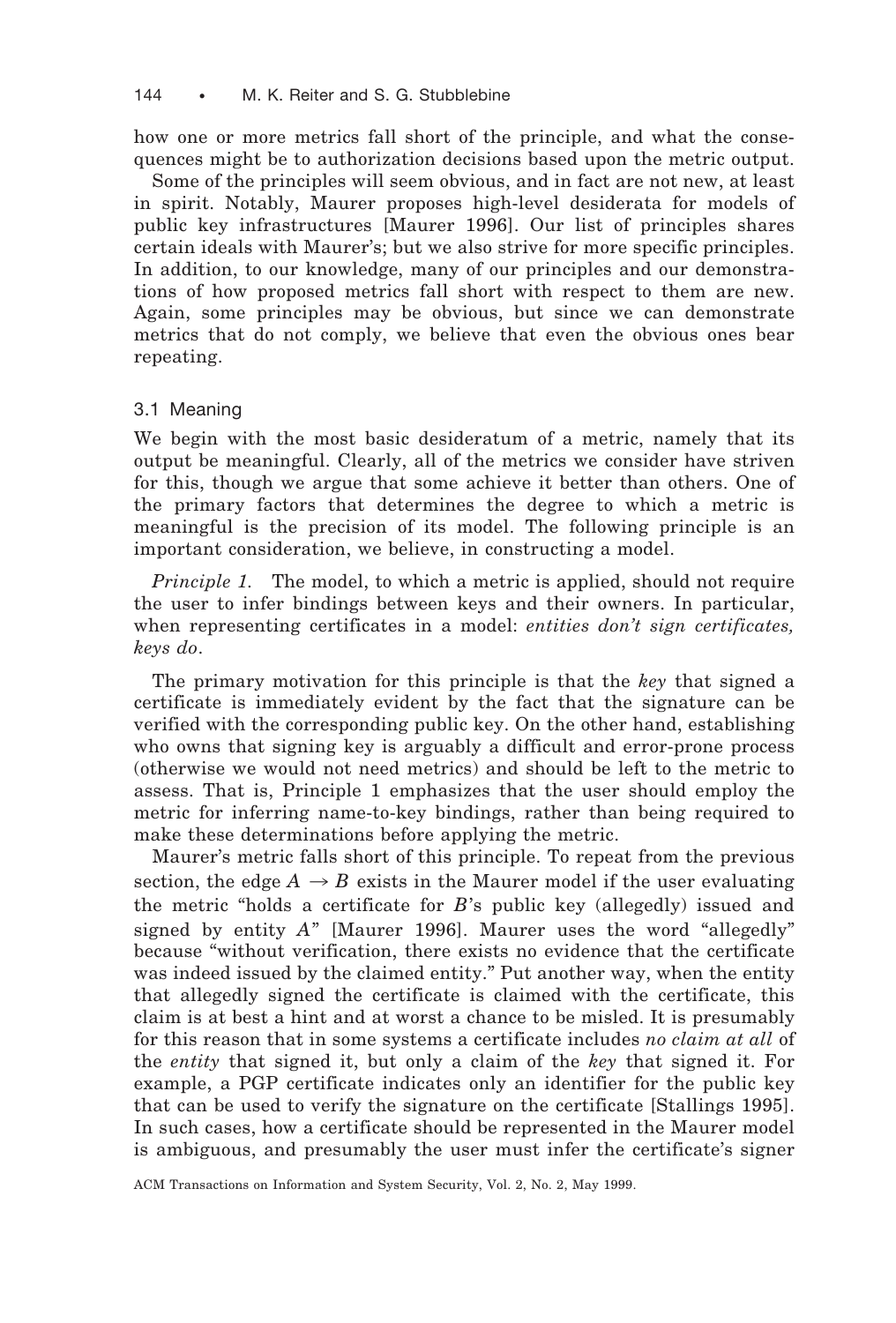how one or more metrics fall short of the principle, and what the consequences might be to authorization decisions based upon the metric output.

Some of the principles will seem obvious, and in fact are not new, at least in spirit. Notably, Maurer proposes high-level desiderata for models of public key infrastructures [Maurer 1996]. Our list of principles shares certain ideals with Maurer's; but we also strive for more specific principles. In addition, to our knowledge, many of our principles and our demonstrations of how proposed metrics fall short with respect to them are new. Again, some principles may be obvious, but since we can demonstrate metrics that do not comply, we believe that even the obvious ones bear repeating.

### 3.1 Meaning

We begin with the most basic desideratum of a metric, namely that its output be meaningful. Clearly, all of the metrics we consider have striven for this, though we argue that some achieve it better than others. One of the primary factors that determines the degree to which a metric is meaningful is the precision of its model. The following principle is an important consideration, we believe, in constructing a model.

*Principle 1.* The model, to which a metric is applied, should not require the user to infer bindings between keys and their owners. In particular, when representing certificates in a model: *entities don't sign certificates, keys do*.

The primary motivation for this principle is that the *key* that signed a certificate is immediately evident by the fact that the signature can be verified with the corresponding public key. On the other hand, establishing who owns that signing key is arguably a difficult and error-prone process (otherwise we would not need metrics) and should be left to the metric to assess. That is, Principle 1 emphasizes that the user should employ the metric for inferring name-to-key bindings, rather than being required to make these determinations before applying the metric.

Maurer's metric falls short of this principle. To repeat from the previous section, the edge  $A \rightarrow B$  exists in the Maurer model if the user evaluating the metric "holds a certificate for *B*'s public key (allegedly) issued and signed by entity *A*" [Maurer 1996]. Maurer uses the word "allegedly" because "without verification, there exists no evidence that the certificate was indeed issued by the claimed entity." Put another way, when the entity that allegedly signed the certificate is claimed with the certificate, this claim is at best a hint and at worst a chance to be misled. It is presumably for this reason that in some systems a certificate includes *no claim at all* of the *entity* that signed it, but only a claim of the *key* that signed it. For example, a PGP certificate indicates only an identifier for the public key that can be used to verify the signature on the certificate [Stallings 1995]. In such cases, how a certificate should be represented in the Maurer model is ambiguous, and presumably the user must infer the certificate's signer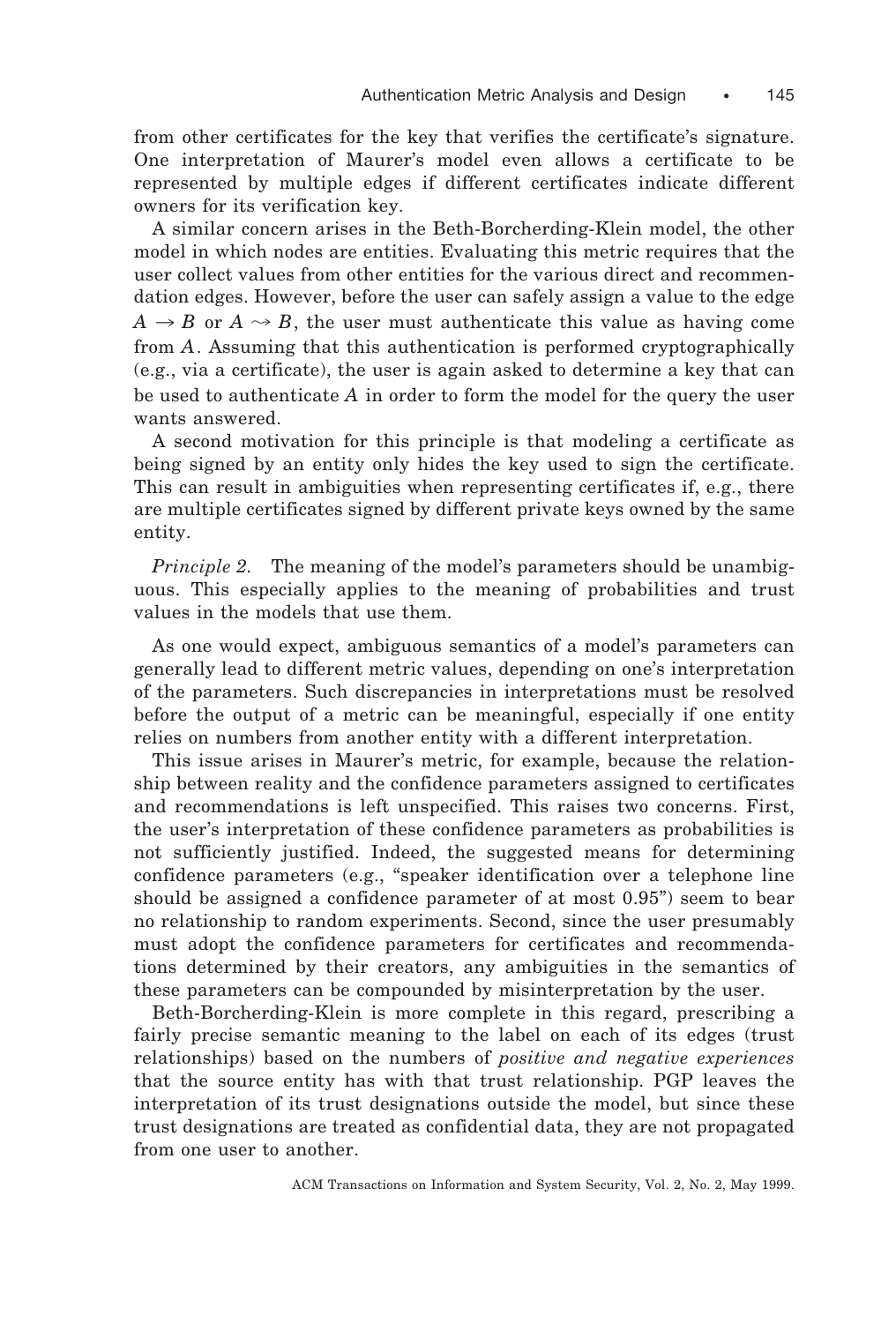from other certificates for the key that verifies the certificate's signature. One interpretation of Maurer's model even allows a certificate to be represented by multiple edges if different certificates indicate different owners for its verification key.

A similar concern arises in the Beth-Borcherding-Klein model, the other model in which nodes are entities. Evaluating this metric requires that the user collect values from other entities for the various direct and recommendation edges. However, before the user can safely assign a value to the edge  $A \rightarrow B$  or  $A \rightarrow B$ , the user must authenticate this value as having come from *A*. Assuming that this authentication is performed cryptographically (e.g., via a certificate), the user is again asked to determine a key that can be used to authenticate *A* in order to form the model for the query the user wants answered.

A second motivation for this principle is that modeling a certificate as being signed by an entity only hides the key used to sign the certificate. This can result in ambiguities when representing certificates if, e.g., there are multiple certificates signed by different private keys owned by the same entity.

*Principle 2.* The meaning of the model's parameters should be unambiguous. This especially applies to the meaning of probabilities and trust values in the models that use them.

As one would expect, ambiguous semantics of a model's parameters can generally lead to different metric values, depending on one's interpretation of the parameters. Such discrepancies in interpretations must be resolved before the output of a metric can be meaningful, especially if one entity relies on numbers from another entity with a different interpretation.

This issue arises in Maurer's metric, for example, because the relationship between reality and the confidence parameters assigned to certificates and recommendations is left unspecified. This raises two concerns. First, the user's interpretation of these confidence parameters as probabilities is not sufficiently justified. Indeed, the suggested means for determining confidence parameters (e.g., "speaker identification over a telephone line should be assigned a confidence parameter of at most 0.95") seem to bear no relationship to random experiments. Second, since the user presumably must adopt the confidence parameters for certificates and recommendations determined by their creators, any ambiguities in the semantics of these parameters can be compounded by misinterpretation by the user.

Beth-Borcherding-Klein is more complete in this regard, prescribing a fairly precise semantic meaning to the label on each of its edges (trust relationships) based on the numbers of *positive and negative experiences* that the source entity has with that trust relationship. PGP leaves the interpretation of its trust designations outside the model, but since these trust designations are treated as confidential data, they are not propagated from one user to another.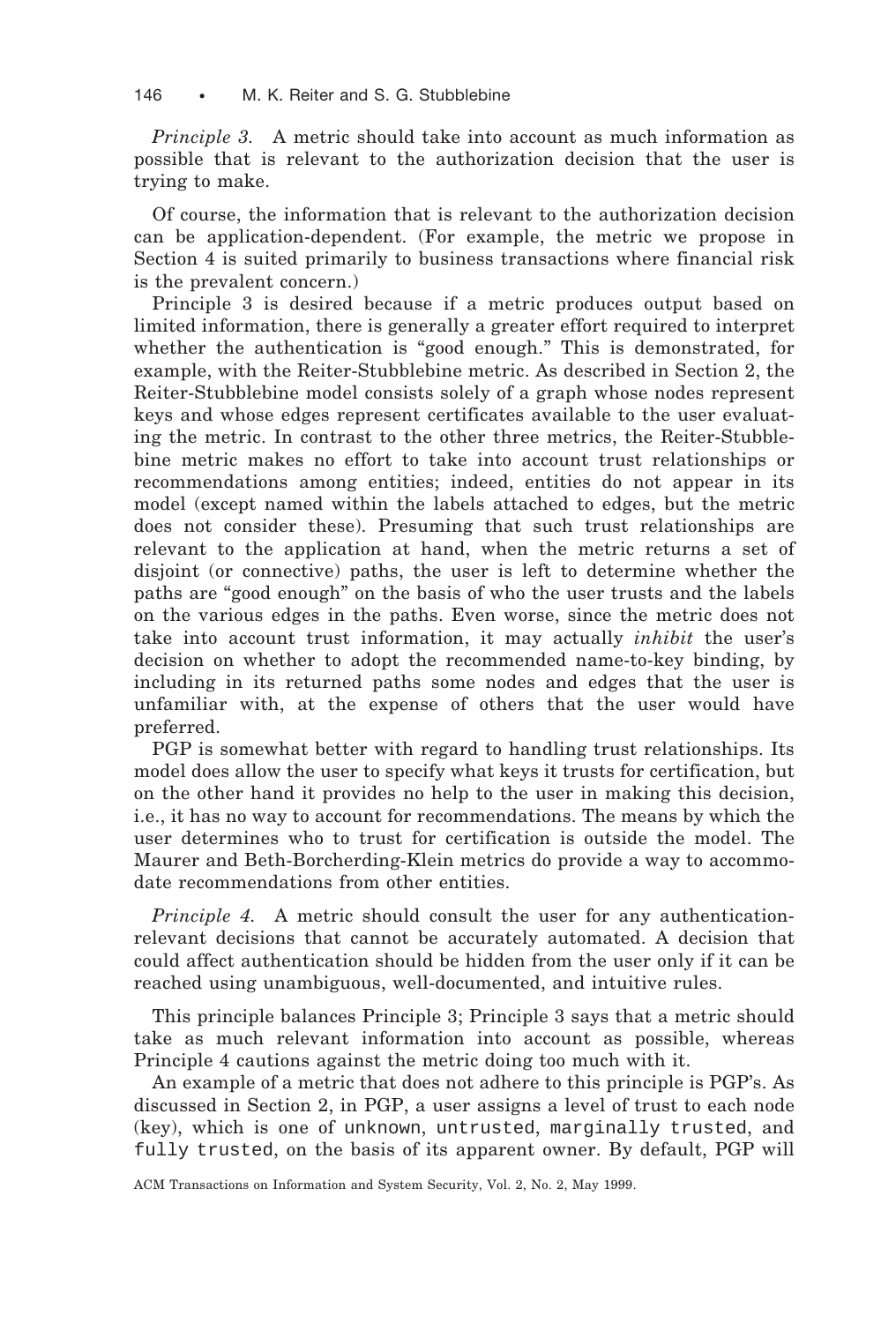*Principle 3.* A metric should take into account as much information as possible that is relevant to the authorization decision that the user is trying to make.

Of course, the information that is relevant to the authorization decision can be application-dependent. (For example, the metric we propose in Section 4 is suited primarily to business transactions where financial risk is the prevalent concern.)

Principle 3 is desired because if a metric produces output based on limited information, there is generally a greater effort required to interpret whether the authentication is "good enough." This is demonstrated, for example, with the Reiter-Stubblebine metric. As described in Section 2, the Reiter-Stubblebine model consists solely of a graph whose nodes represent keys and whose edges represent certificates available to the user evaluating the metric. In contrast to the other three metrics, the Reiter-Stubblebine metric makes no effort to take into account trust relationships or recommendations among entities; indeed, entities do not appear in its model (except named within the labels attached to edges, but the metric does not consider these). Presuming that such trust relationships are relevant to the application at hand, when the metric returns a set of disjoint (or connective) paths, the user is left to determine whether the paths are "good enough" on the basis of who the user trusts and the labels on the various edges in the paths. Even worse, since the metric does not take into account trust information, it may actually *inhibit* the user's decision on whether to adopt the recommended name-to-key binding, by including in its returned paths some nodes and edges that the user is unfamiliar with, at the expense of others that the user would have preferred.

PGP is somewhat better with regard to handling trust relationships. Its model does allow the user to specify what keys it trusts for certification, but on the other hand it provides no help to the user in making this decision, i.e., it has no way to account for recommendations. The means by which the user determines who to trust for certification is outside the model. The Maurer and Beth-Borcherding-Klein metrics do provide a way to accommodate recommendations from other entities.

*Principle 4.* A metric should consult the user for any authenticationrelevant decisions that cannot be accurately automated. A decision that could affect authentication should be hidden from the user only if it can be reached using unambiguous, well-documented, and intuitive rules.

This principle balances Principle 3; Principle 3 says that a metric should take as much relevant information into account as possible, whereas Principle 4 cautions against the metric doing too much with it.

An example of a metric that does not adhere to this principle is PGP's. As discussed in Section 2, in PGP, a user assigns a level of trust to each node (key), which is one of unknown, untrusted, marginally trusted, and fully trusted, on the basis of its apparent owner. By default, PGP will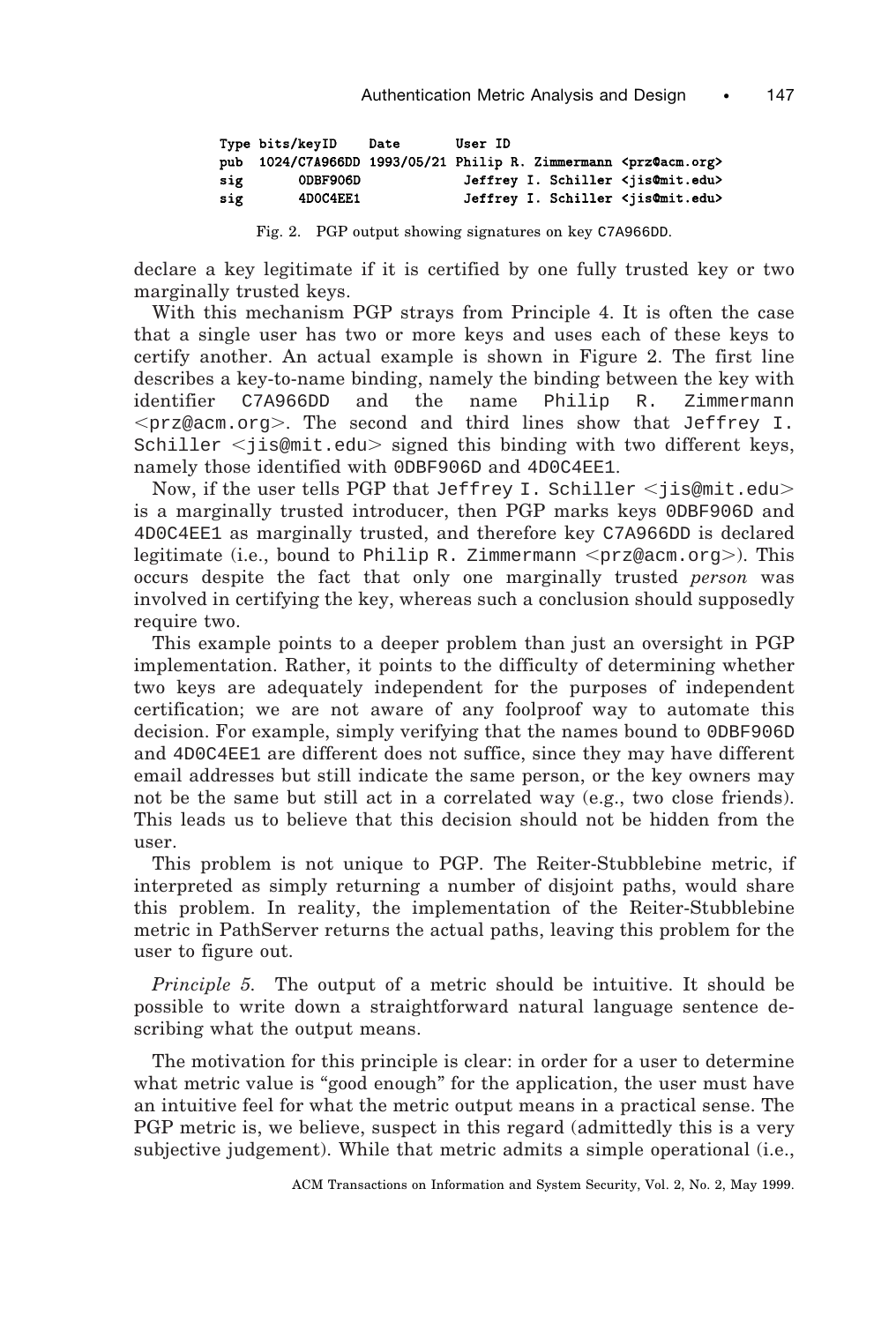|     | Type bits/keyID | Date | User ID                                                                       |  |
|-----|-----------------|------|-------------------------------------------------------------------------------|--|
|     |                 |      | pub 1024/C7A966DD 1993/05/21 Philip R. Zimmermann <prz@acm.org></prz@acm.org> |  |
| sig | <b>ODBF906D</b> |      | Jeffrey I. Schiller <iis@mit.edu></iis@mit.edu>                               |  |
| sig | 4D0C4EE1        |      | Jeffrey I. Schiller <iis@mit.edu></iis@mit.edu>                               |  |

Fig. 2. PGP output showing signatures on key C7A966DD.

declare a key legitimate if it is certified by one fully trusted key or two marginally trusted keys.

With this mechanism PGP strays from Principle 4. It is often the case that a single user has two or more keys and uses each of these keys to certify another. An actual example is shown in Figure 2. The first line describes a key-to-name binding, namely the binding between the key with identifier C7A966DD and the name Philip R. Zimmermann  $\langle \text{prz@acm.org}\rangle$ . The second and third lines show that Jeffrey I. Schiller  $\leq$ is@mit.edu> signed this binding with two different keys, namely those identified with 0DBF906D and 4D0C4EE1.

Now, if the user tells PGP that Jeffrey I. Schiller  $\leq$ jis@mit.edu> is a marginally trusted introducer, then PGP marks keys 0DBF906D and 4D0C4EE1 as marginally trusted, and therefore key C7A966DD is declared legitimate (i.e., bound to Philip R. Zimmermann  $\langle \text{prz@acm.} \text{org.}\rangle$ ). This occurs despite the fact that only one marginally trusted *person* was involved in certifying the key, whereas such a conclusion should supposedly require two.

This example points to a deeper problem than just an oversight in PGP implementation. Rather, it points to the difficulty of determining whether two keys are adequately independent for the purposes of independent certification; we are not aware of any foolproof way to automate this decision. For example, simply verifying that the names bound to 0DBF906D and 4D0C4EE1 are different does not suffice, since they may have different email addresses but still indicate the same person, or the key owners may not be the same but still act in a correlated way (e.g., two close friends). This leads us to believe that this decision should not be hidden from the user.

This problem is not unique to PGP. The Reiter-Stubblebine metric, if interpreted as simply returning a number of disjoint paths, would share this problem. In reality, the implementation of the Reiter-Stubblebine metric in PathServer returns the actual paths, leaving this problem for the user to figure out.

*Principle 5.* The output of a metric should be intuitive. It should be possible to write down a straightforward natural language sentence describing what the output means.

The motivation for this principle is clear: in order for a user to determine what metric value is "good enough" for the application, the user must have an intuitive feel for what the metric output means in a practical sense. The PGP metric is, we believe, suspect in this regard (admittedly this is a very subjective judgement). While that metric admits a simple operational (i.e.,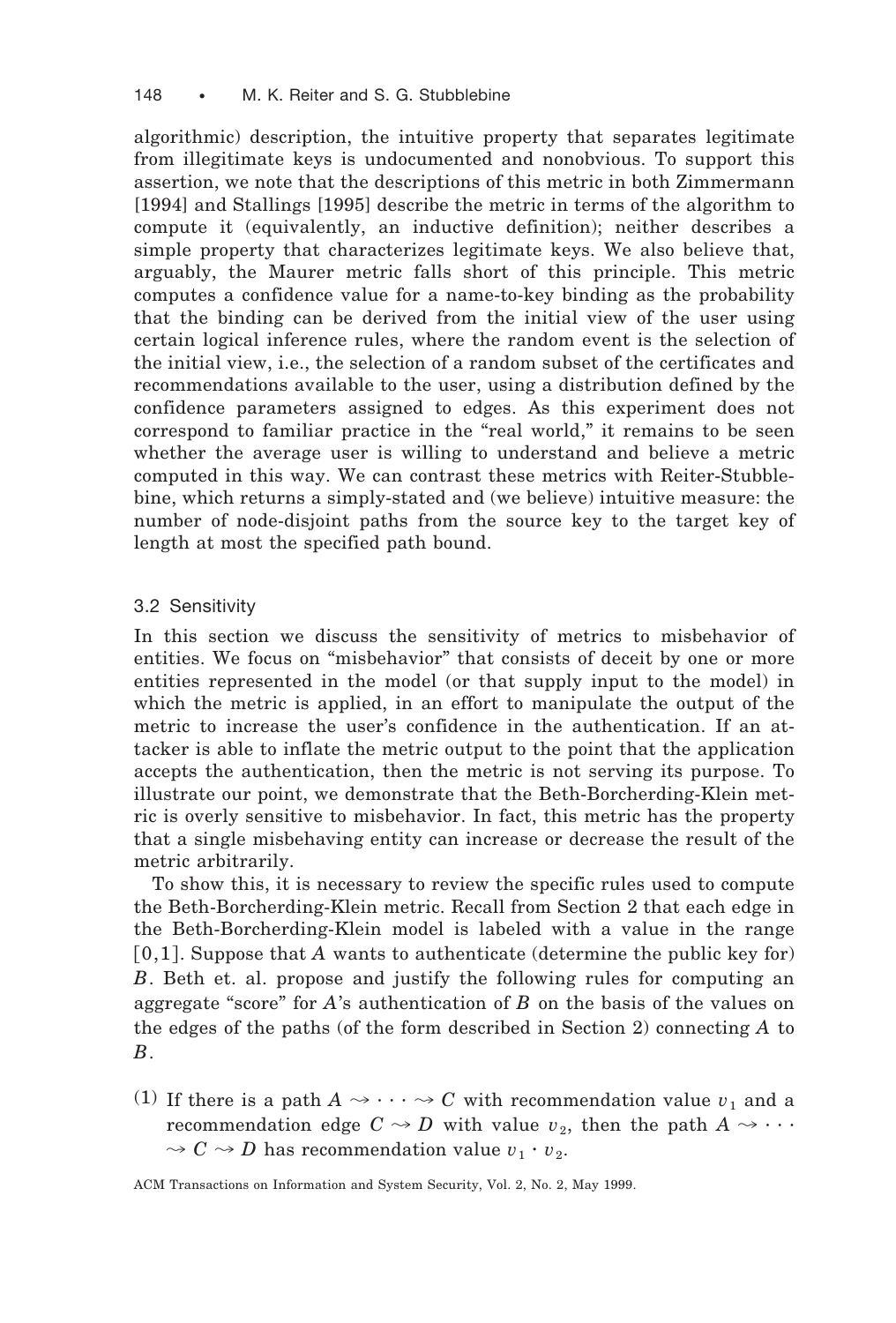algorithmic) description, the intuitive property that separates legitimate from illegitimate keys is undocumented and nonobvious. To support this assertion, we note that the descriptions of this metric in both Zimmermann [1994] and Stallings [1995] describe the metric in terms of the algorithm to compute it (equivalently, an inductive definition); neither describes a simple property that characterizes legitimate keys. We also believe that, arguably, the Maurer metric falls short of this principle. This metric computes a confidence value for a name-to-key binding as the probability that the binding can be derived from the initial view of the user using certain logical inference rules, where the random event is the selection of the initial view, i.e., the selection of a random subset of the certificates and recommendations available to the user, using a distribution defined by the confidence parameters assigned to edges. As this experiment does not correspond to familiar practice in the "real world," it remains to be seen whether the average user is willing to understand and believe a metric computed in this way. We can contrast these metrics with Reiter-Stubblebine, which returns a simply-stated and (we believe) intuitive measure: the number of node-disjoint paths from the source key to the target key of length at most the specified path bound.

## 3.2 Sensitivity

In this section we discuss the sensitivity of metrics to misbehavior of entities. We focus on "misbehavior" that consists of deceit by one or more entities represented in the model (or that supply input to the model) in which the metric is applied, in an effort to manipulate the output of the metric to increase the user's confidence in the authentication. If an attacker is able to inflate the metric output to the point that the application accepts the authentication, then the metric is not serving its purpose. To illustrate our point, we demonstrate that the Beth-Borcherding-Klein metric is overly sensitive to misbehavior. In fact, this metric has the property that a single misbehaving entity can increase or decrease the result of the metric arbitrarily.

To show this, it is necessary to review the specific rules used to compute the Beth-Borcherding-Klein metric. Recall from Section 2 that each edge in the Beth-Borcherding-Klein model is labeled with a value in the range  $[0,1]$ . Suppose that *A* wants to authenticate (determine the public key for) *B*. Beth et. al. propose and justify the following rules for computing an aggregate "score" for *A*'s authentication of *B* on the basis of the values on the edges of the paths (of the form described in Section 2) connecting *A* to *B*.

(1) If there is a path  $A \rightarrow \cdots \rightarrow C$  with recommendation value  $v_1$  and a recommendation edge  $C \rightarrow D$  with value  $v_2$ , then the path  $A \rightarrow \cdots$  $\sim C \sim D$  has recommendation value  $v_1 \cdot v_2$ .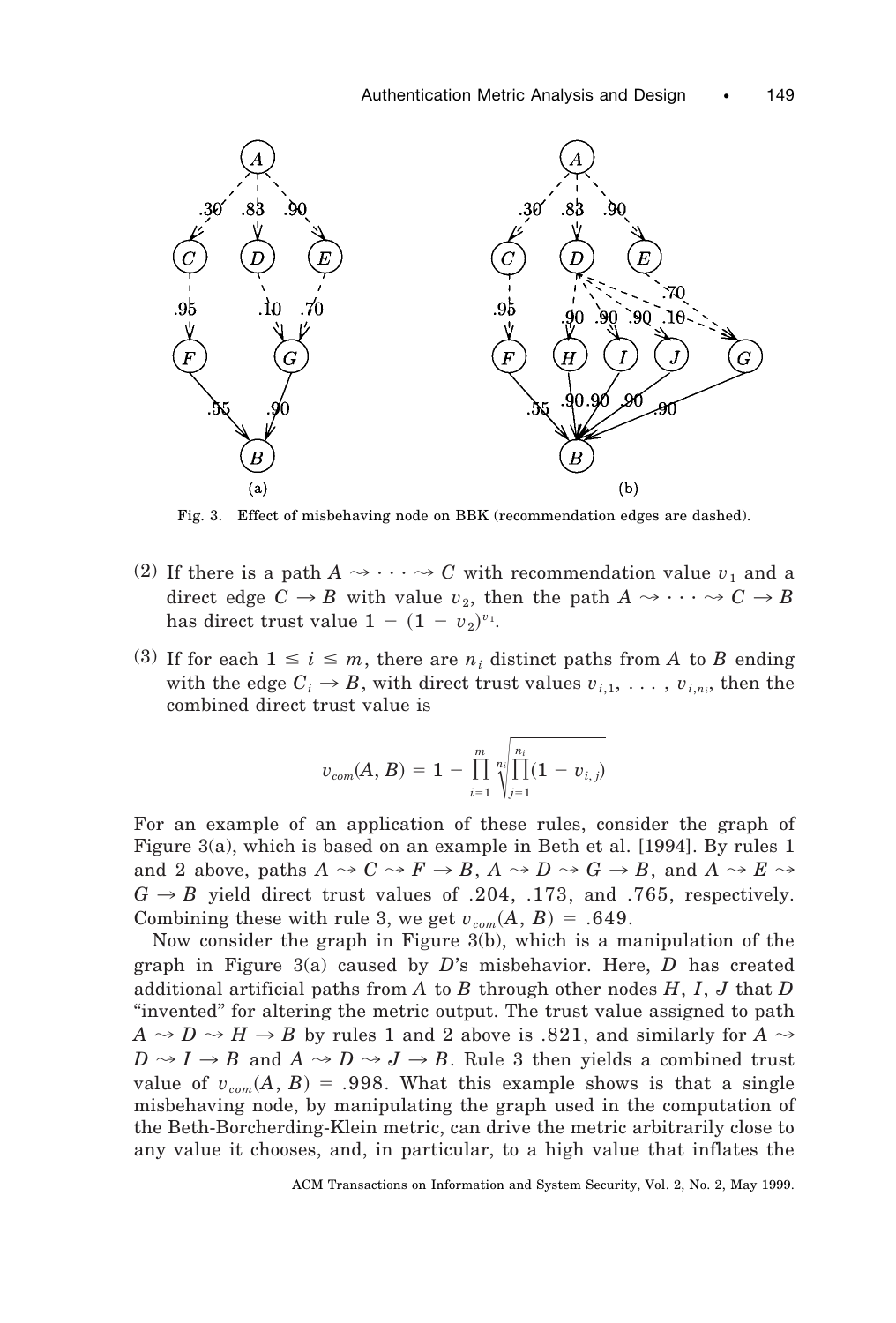

Fig. 3. Effect of misbehaving node on BBK (recommendation edges are dashed).

- (2) If there is a path  $A \rightarrow \cdots \rightarrow C$  with recommendation value  $v_1$  and a direct edge  $C \rightarrow B$  with value  $v_2$ , then the path  $A \rightarrow \cdots \rightarrow C \rightarrow B$ has direct trust value  $1 - (1 - v_2)^{v_1}$ .
- (3) If for each  $1 \le i \le m$ , there are  $n_i$  distinct paths from A to B ending with the edge  $C_i \rightarrow B$ , with direct trust values  $v_{i,1}, \ldots, v_{i,n_i}$ , then the combined direct trust value is

$$
v_{com}(A, B) = 1 - \prod_{i=1}^{m} \sqrt[n_i]{\prod_{j=1}^{n_i} (1 - v_{i,j})}
$$

For an example of an application of these rules, consider the graph of Figure 3(a), which is based on an example in Beth et al. [1994]. By rules 1 and 2 above, paths  $A \rightarrow C \rightarrow F \rightarrow B$ ,  $A \rightarrow D \rightarrow G \rightarrow B$ , and  $A \rightarrow E \rightarrow$  $G \rightarrow B$  yield direct trust values of .204, .173, and .765, respectively. Combining these with rule 3, we get  $v_{com}(A, B) = .649$ .

Now consider the graph in Figure 3(b), which is a manipulation of the graph in Figure 3(a) caused by *D*'s misbehavior. Here, *D* has created additional artificial paths from *A* to *B* through other nodes *H*, *I*, *J* that *D* "invented" for altering the metric output. The trust value assigned to path  $A \rightarrow D \rightarrow H \rightarrow B$  by rules 1 and 2 above is .821, and similarly for  $A \rightarrow$  $D \rightarrow I \rightarrow B$  and  $A \rightarrow D \rightarrow J \rightarrow B$ . Rule 3 then yields a combined trust value of  $v_{com}(A, B) = .998$ . What this example shows is that a single misbehaving node, by manipulating the graph used in the computation of the Beth-Borcherding-Klein metric, can drive the metric arbitrarily close to any value it chooses, and, in particular, to a high value that inflates the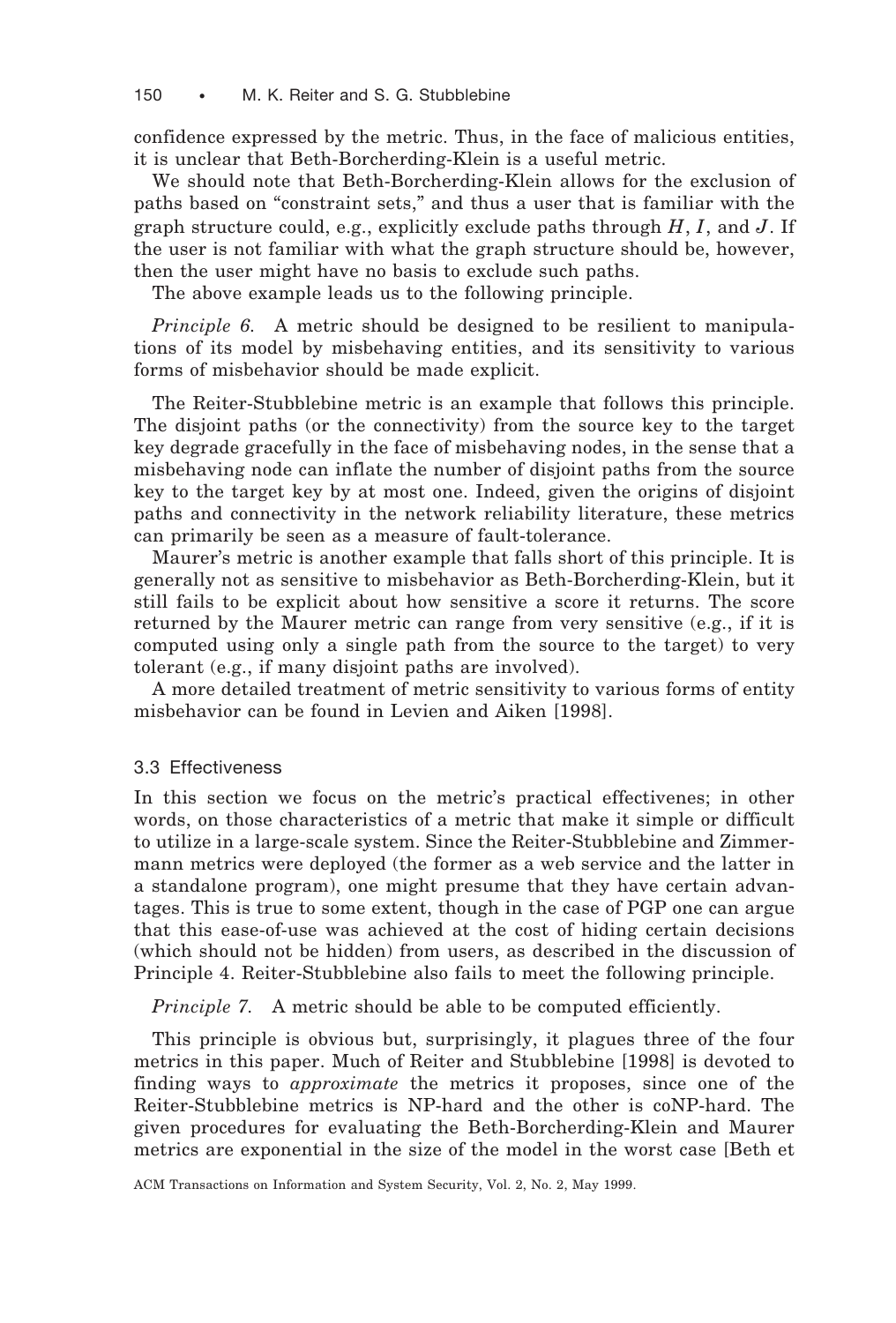confidence expressed by the metric. Thus, in the face of malicious entities, it is unclear that Beth-Borcherding-Klein is a useful metric.

We should note that Beth-Borcherding-Klein allows for the exclusion of paths based on "constraint sets," and thus a user that is familiar with the graph structure could, e.g., explicitly exclude paths through *H*, *I*, and *J*. If the user is not familiar with what the graph structure should be, however, then the user might have no basis to exclude such paths.

The above example leads us to the following principle.

*Principle 6.* A metric should be designed to be resilient to manipulations of its model by misbehaving entities, and its sensitivity to various forms of misbehavior should be made explicit.

The Reiter-Stubblebine metric is an example that follows this principle. The disjoint paths (or the connectivity) from the source key to the target key degrade gracefully in the face of misbehaving nodes, in the sense that a misbehaving node can inflate the number of disjoint paths from the source key to the target key by at most one. Indeed, given the origins of disjoint paths and connectivity in the network reliability literature, these metrics can primarily be seen as a measure of fault-tolerance.

Maurer's metric is another example that falls short of this principle. It is generally not as sensitive to misbehavior as Beth-Borcherding-Klein, but it still fails to be explicit about how sensitive a score it returns. The score returned by the Maurer metric can range from very sensitive (e.g., if it is computed using only a single path from the source to the target) to very tolerant (e.g., if many disjoint paths are involved).

A more detailed treatment of metric sensitivity to various forms of entity misbehavior can be found in Levien and Aiken [1998].

## 3.3 Effectiveness

In this section we focus on the metric's practical effectivenes; in other words, on those characteristics of a metric that make it simple or difficult to utilize in a large-scale system. Since the Reiter-Stubblebine and Zimmermann metrics were deployed (the former as a web service and the latter in a standalone program), one might presume that they have certain advantages. This is true to some extent, though in the case of PGP one can argue that this ease-of-use was achieved at the cost of hiding certain decisions (which should not be hidden) from users, as described in the discussion of Principle 4. Reiter-Stubblebine also fails to meet the following principle.

*Principle 7.* A metric should be able to be computed efficiently.

This principle is obvious but, surprisingly, it plagues three of the four metrics in this paper. Much of Reiter and Stubblebine [1998] is devoted to finding ways to *approximate* the metrics it proposes, since one of the Reiter-Stubblebine metrics is NP-hard and the other is coNP-hard. The given procedures for evaluating the Beth-Borcherding-Klein and Maurer metrics are exponential in the size of the model in the worst case [Beth et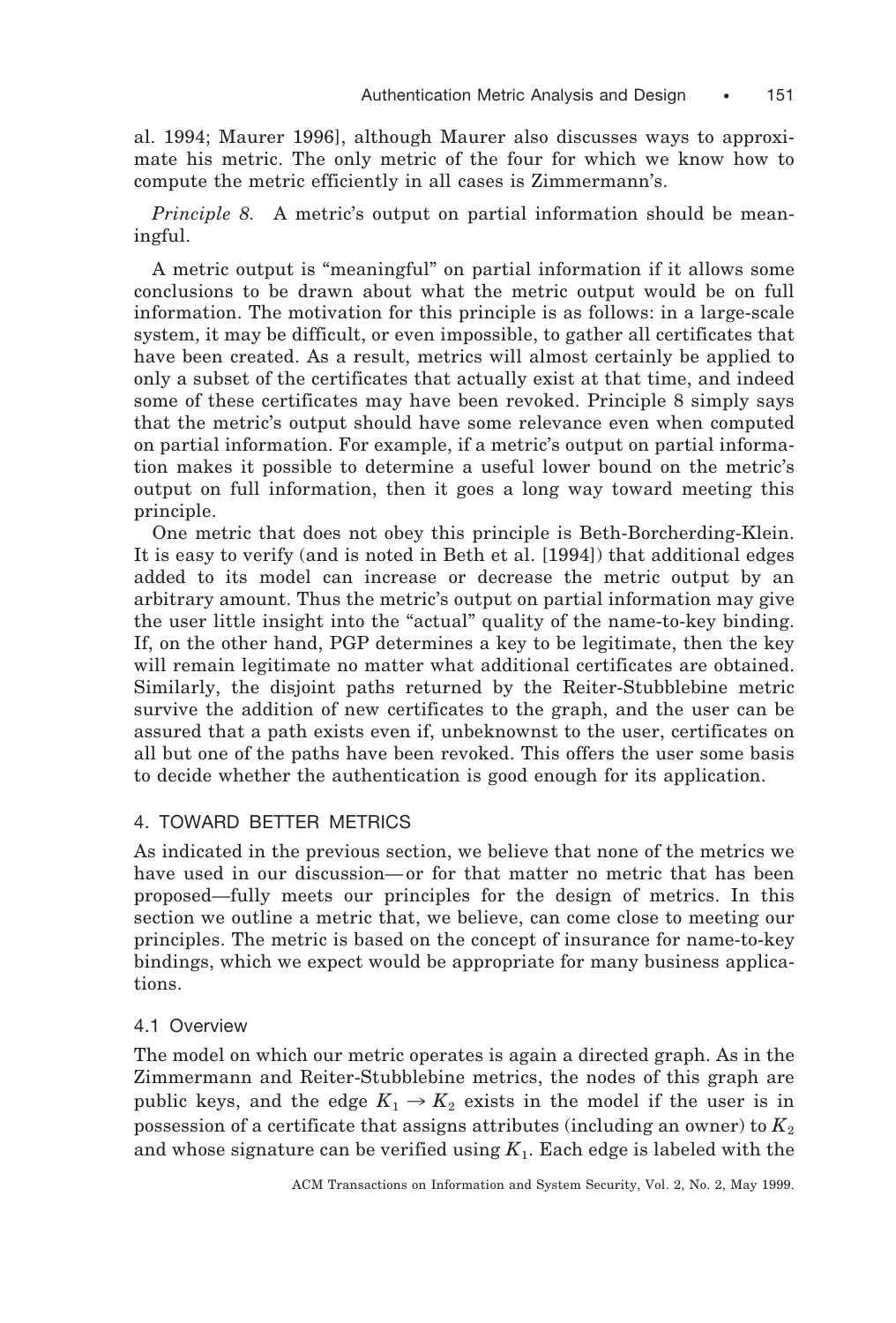al. 1994; Maurer 1996], although Maurer also discusses ways to approximate his metric. The only metric of the four for which we know how to compute the metric efficiently in all cases is Zimmermann's.

*Principle 8.* A metric's output on partial information should be meaningful.

A metric output is "meaningful" on partial information if it allows some conclusions to be drawn about what the metric output would be on full information. The motivation for this principle is as follows: in a large-scale system, it may be difficult, or even impossible, to gather all certificates that have been created. As a result, metrics will almost certainly be applied to only a subset of the certificates that actually exist at that time, and indeed some of these certificates may have been revoked. Principle 8 simply says that the metric's output should have some relevance even when computed on partial information. For example, if a metric's output on partial information makes it possible to determine a useful lower bound on the metric's output on full information, then it goes a long way toward meeting this principle.

One metric that does not obey this principle is Beth-Borcherding-Klein. It is easy to verify (and is noted in Beth et al. [1994]) that additional edges added to its model can increase or decrease the metric output by an arbitrary amount. Thus the metric's output on partial information may give the user little insight into the "actual" quality of the name-to-key binding. If, on the other hand, PGP determines a key to be legitimate, then the key will remain legitimate no matter what additional certificates are obtained. Similarly, the disjoint paths returned by the Reiter-Stubblebine metric survive the addition of new certificates to the graph, and the user can be assured that a path exists even if, unbeknownst to the user, certificates on all but one of the paths have been revoked. This offers the user some basis to decide whether the authentication is good enough for its application.

# 4. TOWARD BETTER METRICS

As indicated in the previous section, we believe that none of the metrics we have used in our discussion—or for that matter no metric that has been proposed—fully meets our principles for the design of metrics. In this section we outline a metric that, we believe, can come close to meeting our principles. The metric is based on the concept of insurance for name-to-key bindings, which we expect would be appropriate for many business applications.

## 4.1 Overview

The model on which our metric operates is again a directed graph. As in the Zimmermann and Reiter-Stubblebine metrics, the nodes of this graph are public keys, and the edge  $K_1 \rightarrow K_2$  exists in the model if the user is in possession of a certificate that assigns attributes (including an owner) to  $K_2$ and whose signature can be verified using *K*1. Each edge is labeled with the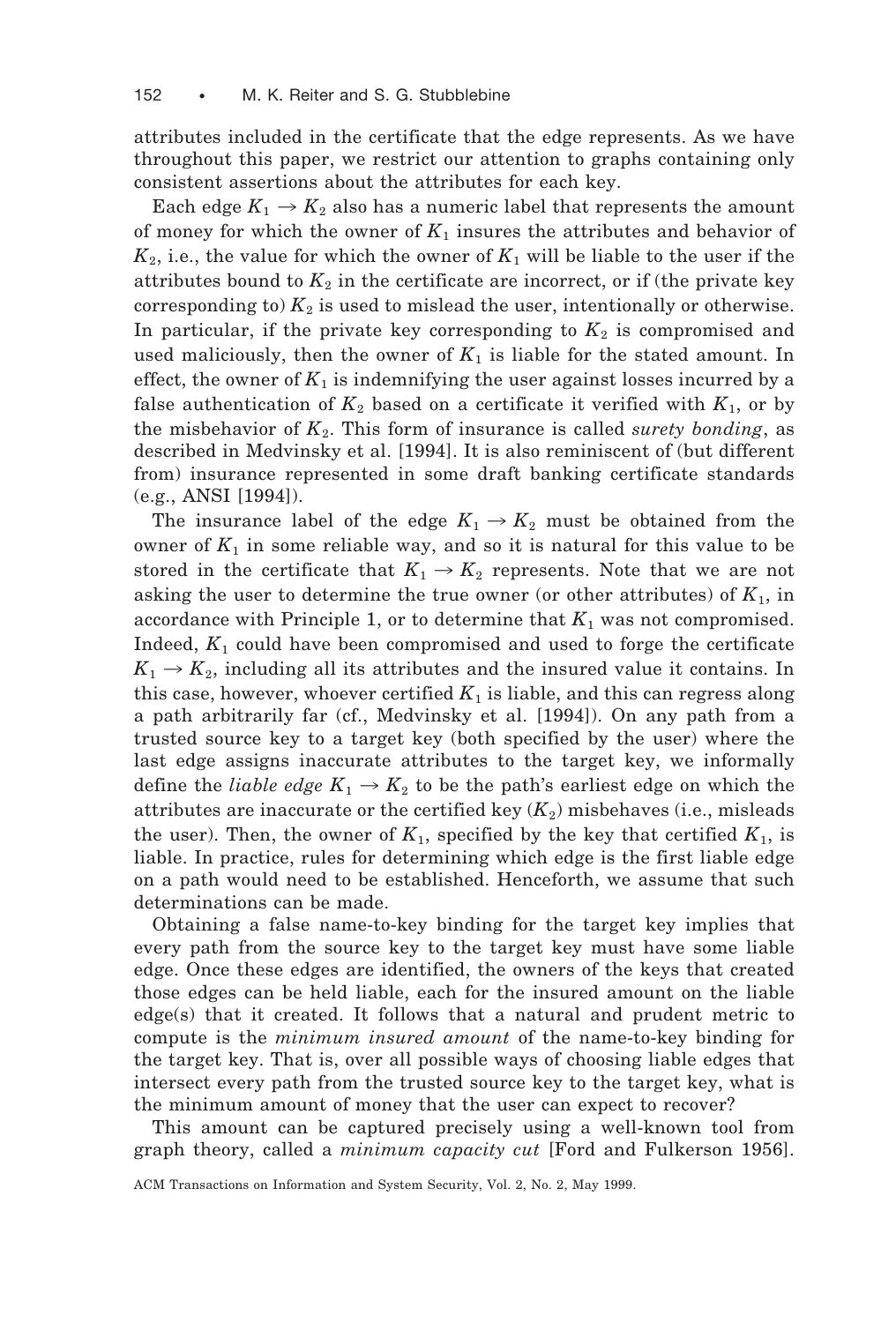attributes included in the certificate that the edge represents. As we have throughout this paper, we restrict our attention to graphs containing only consistent assertions about the attributes for each key.

Each edge  $K_1 \rightarrow K_2$  also has a numeric label that represents the amount of money for which the owner of  $K_1$  insures the attributes and behavior of  $K_2$ , i.e., the value for which the owner of  $K_1$  will be liable to the user if the attributes bound to  $K_2$  in the certificate are incorrect, or if (the private key corresponding to)  $K_2$  is used to mislead the user, intentionally or otherwise. In particular, if the private key corresponding to  $K_2$  is compromised and used maliciously, then the owner of  $K_1$  is liable for the stated amount. In effect, the owner of  $K_1$  is indemnifying the user against losses incurred by a false authentication of  $K_2$  based on a certificate it verified with  $K_1$ , or by the misbehavior of  $K_2$ . This form of insurance is called *surety bonding*, as described in Medvinsky et al. [1994]. It is also reminiscent of (but different from) insurance represented in some draft banking certificate standards (e.g., ANSI [1994]).

The insurance label of the edge  $K_1 \rightarrow K_2$  must be obtained from the owner of  $K_1$  in some reliable way, and so it is natural for this value to be stored in the certificate that  $K_1 \rightarrow K_2$  represents. Note that we are not asking the user to determine the true owner (or other attributes) of  $K_1$ , in accordance with Principle 1, or to determine that  $K_1$  was not compromised. Indeed,  $K_1$  could have been compromised and used to forge the certificate  $K_1 \rightarrow K_2$ , including all its attributes and the insured value it contains. In this case, however, whoever certified  $K_1$  is liable, and this can regress along a path arbitrarily far (cf., Medvinsky et al. [1994]). On any path from a trusted source key to a target key (both specified by the user) where the last edge assigns inaccurate attributes to the target key, we informally define the *liable edge*  $K_1 \rightarrow K_2$  to be the path's earliest edge on which the attributes are inaccurate or the certified key  $(K_2)$  misbehaves (i.e., misleads the user). Then, the owner of  $K_1$ , specified by the key that certified  $K_1$ , is liable. In practice, rules for determining which edge is the first liable edge on a path would need to be established. Henceforth, we assume that such determinations can be made.

Obtaining a false name-to-key binding for the target key implies that every path from the source key to the target key must have some liable edge. Once these edges are identified, the owners of the keys that created those edges can be held liable, each for the insured amount on the liable edge(s) that it created. It follows that a natural and prudent metric to compute is the *minimum insured amount* of the name-to-key binding for the target key. That is, over all possible ways of choosing liable edges that intersect every path from the trusted source key to the target key, what is the minimum amount of money that the user can expect to recover?

This amount can be captured precisely using a well-known tool from graph theory, called a *minimum capacity cut* [Ford and Fulkerson 1956].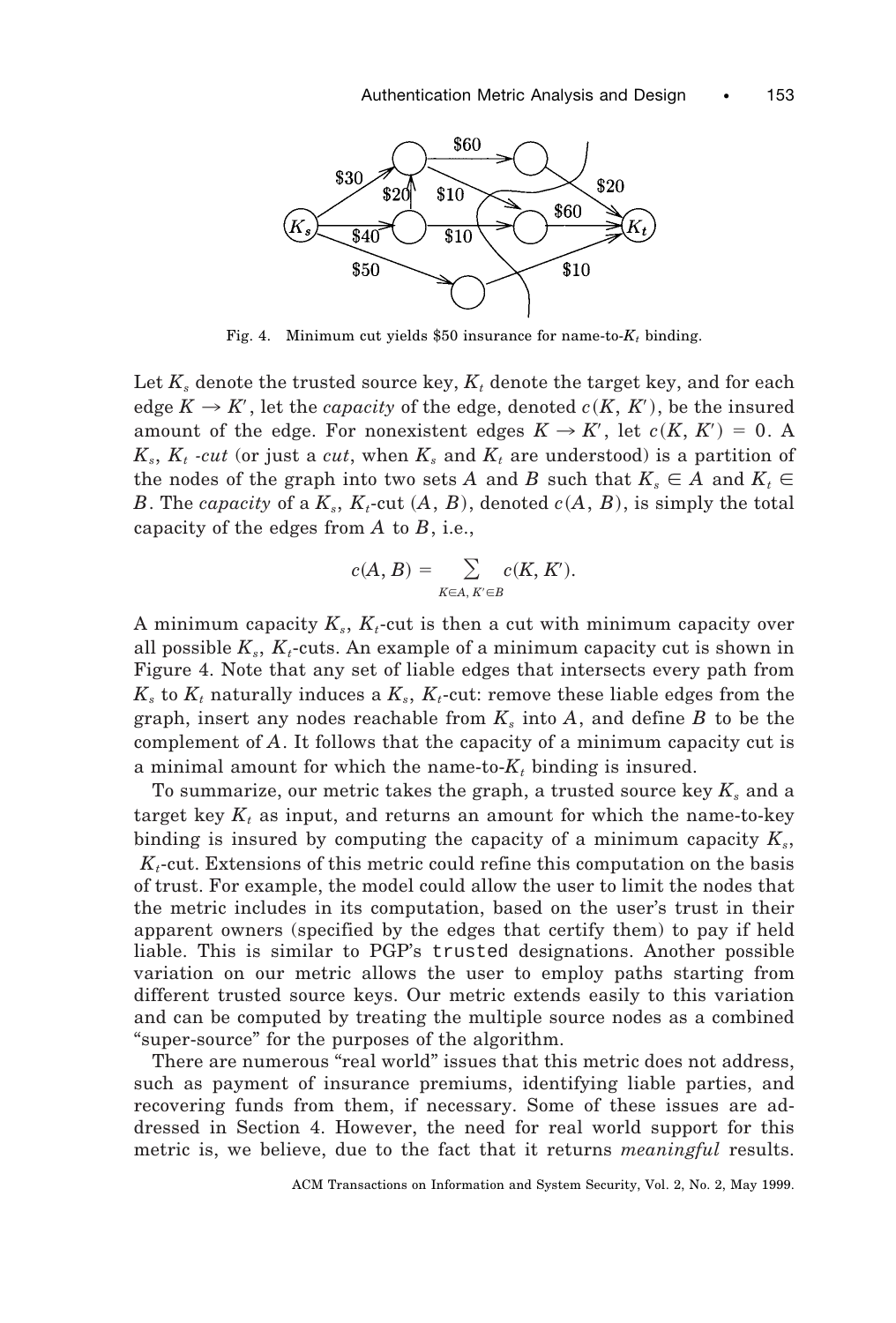

Fig. 4. Minimum cut yields  $$50$  insurance for name-to- $K_t$  binding.

Let  $K_s$  denote the trusted source key,  $K_t$  denote the target key, and for each edge  $K \to K'$ , let the *capacity* of the edge, denoted  $c(K, K')$ , be the insured amount of the edge. For nonexistent edges  $K \rightarrow K'$ , let  $c(K, K') = 0$ . A  $K_s$ ,  $K_t$  *-cut* (or just a *cut*, when  $K_s$  and  $K_t$  are understood) is a partition of the nodes of the graph into two sets A and B such that  $K_s \in A$  and  $K_t \in$ *B*. The *capacity* of a  $K_s$ ,  $K_t$ -cut  $(A, B)$ , denoted  $c(A, B)$ , is simply the total capacity of the edges from *A* to *B*, i.e.,

$$
c(A, B) = \sum_{K \in A, K' \in B} c(K, K').
$$

A minimum capacity  $K_s$ ,  $K_t$ -cut is then a cut with minimum capacity over all possible  $K_s$ ,  $K_t$ -cuts. An example of a minimum capacity cut is shown in Figure 4. Note that any set of liable edges that intersects every path from  $K_s$  to  $K_t$  naturally induces a  $K_s$ ,  $K_t$ -cut: remove these liable edges from the graph, insert any nodes reachable from  $K_s$  into  $A$ , and define  $B$  to be the complement of *A*. It follows that the capacity of a minimum capacity cut is a minimal amount for which the name-to- $K_t$  binding is insured.

To summarize, our metric takes the graph, a trusted source key *Ks* and a target key  $K_t$  as input, and returns an amount for which the name-to-key binding is insured by computing the capacity of a minimum capacity  $K_s$ , *Kt*-cut. Extensions of this metric could refine this computation on the basis of trust. For example, the model could allow the user to limit the nodes that the metric includes in its computation, based on the user's trust in their apparent owners (specified by the edges that certify them) to pay if held liable. This is similar to PGP's trusted designations. Another possible variation on our metric allows the user to employ paths starting from different trusted source keys. Our metric extends easily to this variation and can be computed by treating the multiple source nodes as a combined "super-source" for the purposes of the algorithm.

There are numerous "real world" issues that this metric does not address, such as payment of insurance premiums, identifying liable parties, and recovering funds from them, if necessary. Some of these issues are addressed in Section 4. However, the need for real world support for this metric is, we believe, due to the fact that it returns *meaningful* results.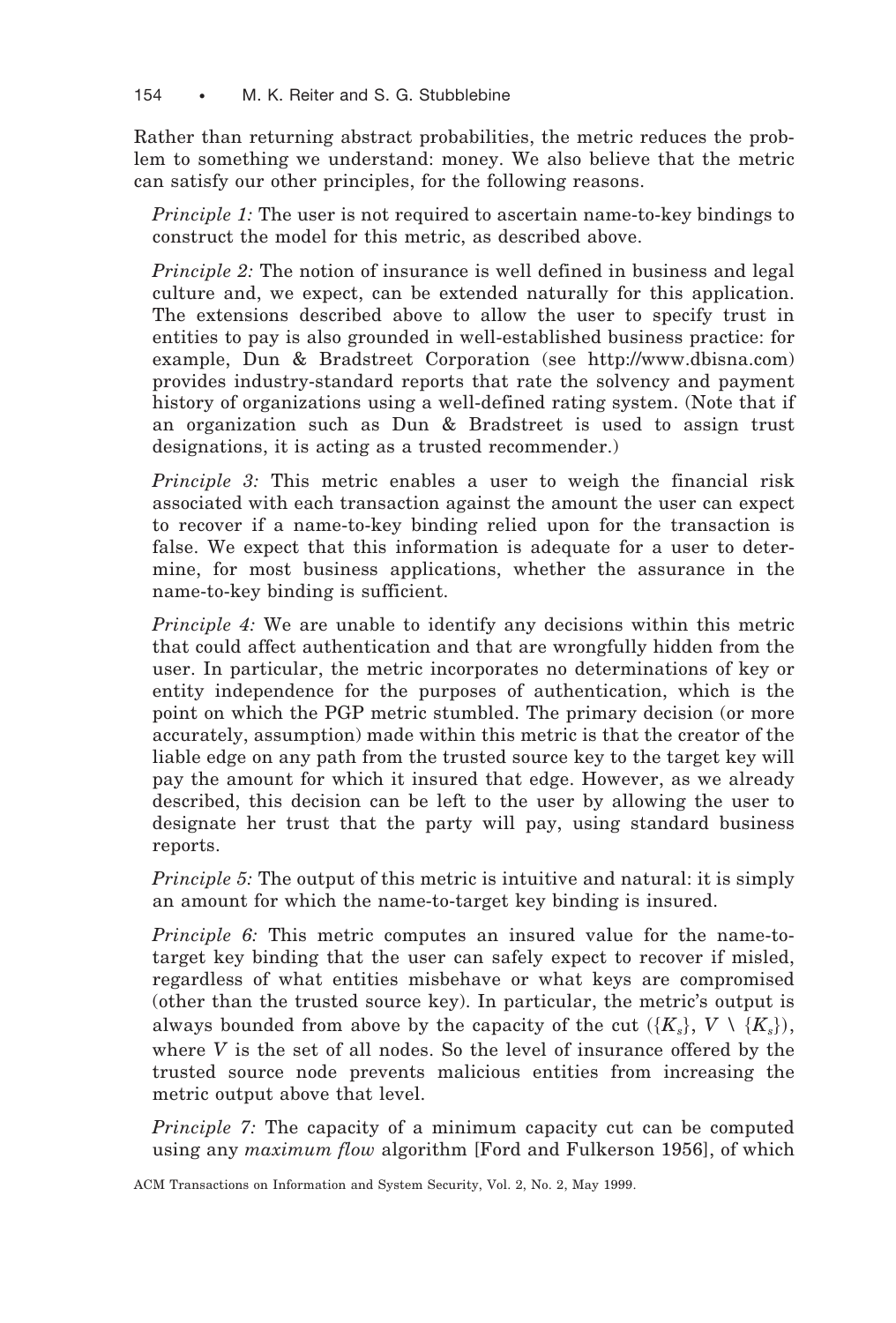Rather than returning abstract probabilities, the metric reduces the problem to something we understand: money. We also believe that the metric can satisfy our other principles, for the following reasons.

*Principle 1:* The user is not required to ascertain name-to-key bindings to construct the model for this metric, as described above.

*Principle 2:* The notion of insurance is well defined in business and legal culture and, we expect, can be extended naturally for this application. The extensions described above to allow the user to specify trust in entities to pay is also grounded in well-established business practice: for example, Dun & Bradstreet Corporation (see http://www.dbisna.com) provides industry-standard reports that rate the solvency and payment history of organizations using a well-defined rating system. (Note that if an organization such as Dun & Bradstreet is used to assign trust designations, it is acting as a trusted recommender.)

*Principle 3:* This metric enables a user to weigh the financial risk associated with each transaction against the amount the user can expect to recover if a name-to-key binding relied upon for the transaction is false. We expect that this information is adequate for a user to determine, for most business applications, whether the assurance in the name-to-key binding is sufficient.

*Principle 4:* We are unable to identify any decisions within this metric that could affect authentication and that are wrongfully hidden from the user. In particular, the metric incorporates no determinations of key or entity independence for the purposes of authentication, which is the point on which the PGP metric stumbled. The primary decision (or more accurately, assumption) made within this metric is that the creator of the liable edge on any path from the trusted source key to the target key will pay the amount for which it insured that edge. However, as we already described, this decision can be left to the user by allowing the user to designate her trust that the party will pay, using standard business reports.

*Principle 5:* The output of this metric is intuitive and natural: it is simply an amount for which the name-to-target key binding is insured.

*Principle 6:* This metric computes an insured value for the name-totarget key binding that the user can safely expect to recover if misled, regardless of what entities misbehave or what keys are compromised (other than the trusted source key). In particular, the metric's output is always bounded from above by the capacity of the cut  $({K_s}, V \setminus {K_s})$ , where *V* is the set of all nodes. So the level of insurance offered by the trusted source node prevents malicious entities from increasing the metric output above that level.

*Principle 7:* The capacity of a minimum capacity cut can be computed using any *maximum flow* algorithm [Ford and Fulkerson 1956], of which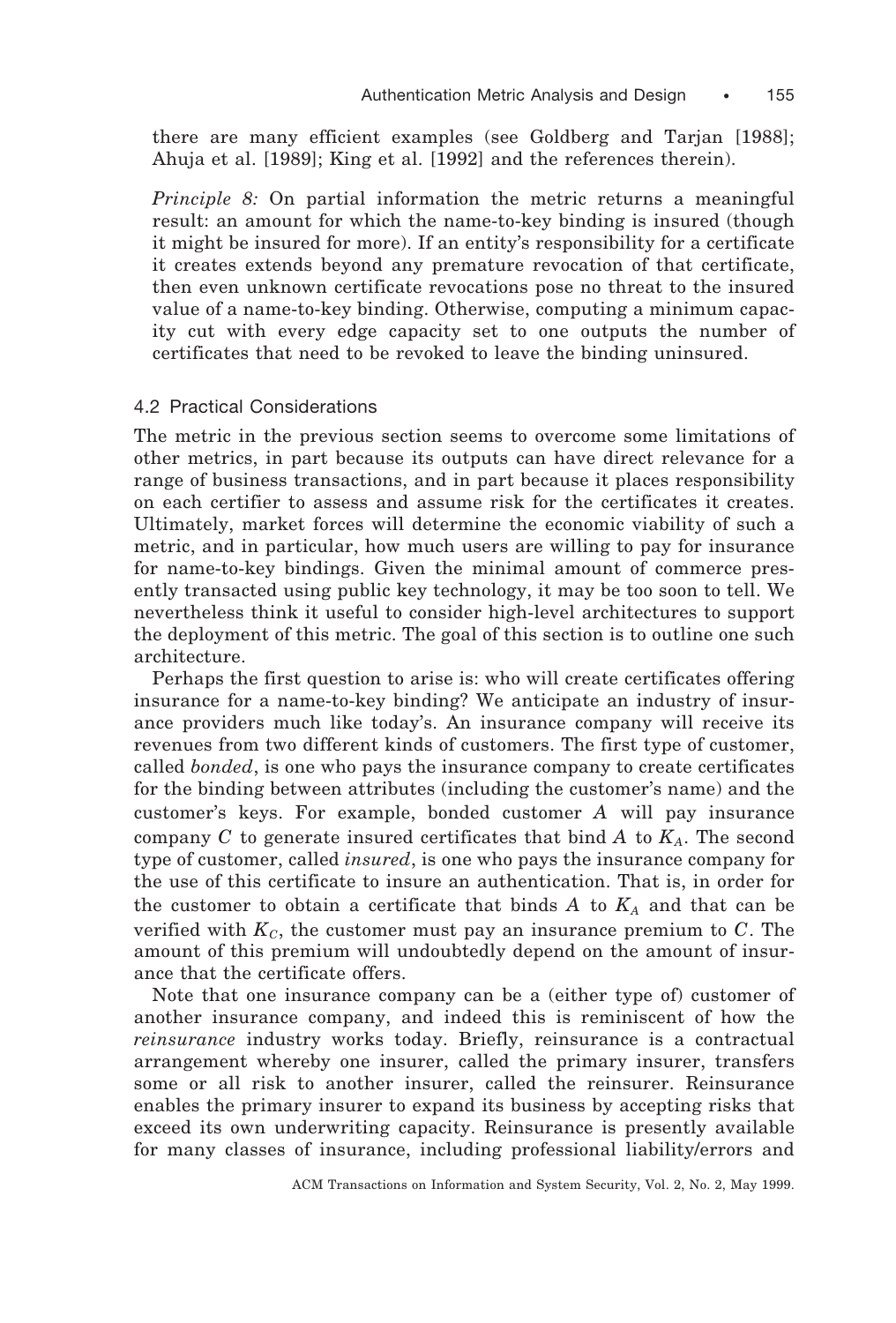there are many efficient examples (see Goldberg and Tarjan [1988]; Ahuja et al. [1989]; King et al. [1992] and the references therein).

*Principle 8:* On partial information the metric returns a meaningful result: an amount for which the name-to-key binding is insured (though it might be insured for more). If an entity's responsibility for a certificate it creates extends beyond any premature revocation of that certificate, then even unknown certificate revocations pose no threat to the insured value of a name-to-key binding. Otherwise, computing a minimum capacity cut with every edge capacity set to one outputs the number of certificates that need to be revoked to leave the binding uninsured.

#### 4.2 Practical Considerations

The metric in the previous section seems to overcome some limitations of other metrics, in part because its outputs can have direct relevance for a range of business transactions, and in part because it places responsibility on each certifier to assess and assume risk for the certificates it creates. Ultimately, market forces will determine the economic viability of such a metric, and in particular, how much users are willing to pay for insurance for name-to-key bindings. Given the minimal amount of commerce presently transacted using public key technology, it may be too soon to tell. We nevertheless think it useful to consider high-level architectures to support the deployment of this metric. The goal of this section is to outline one such architecture.

Perhaps the first question to arise is: who will create certificates offering insurance for a name-to-key binding? We anticipate an industry of insurance providers much like today's. An insurance company will receive its revenues from two different kinds of customers. The first type of customer, called *bonded*, is one who pays the insurance company to create certificates for the binding between attributes (including the customer's name) and the customer's keys. For example, bonded customer *A* will pay insurance company  $C$  to generate insured certificates that bind  $A$  to  $K_A$ . The second type of customer, called *insured*, is one who pays the insurance company for the use of this certificate to insure an authentication. That is, in order for the customer to obtain a certificate that binds  $A$  to  $K_A$  and that can be verified with  $K_c$ , the customer must pay an insurance premium to  $C$ . The amount of this premium will undoubtedly depend on the amount of insurance that the certificate offers.

Note that one insurance company can be a (either type of) customer of another insurance company, and indeed this is reminiscent of how the *reinsurance* industry works today. Briefly, reinsurance is a contractual arrangement whereby one insurer, called the primary insurer, transfers some or all risk to another insurer, called the reinsurer. Reinsurance enables the primary insurer to expand its business by accepting risks that exceed its own underwriting capacity. Reinsurance is presently available for many classes of insurance, including professional liability/errors and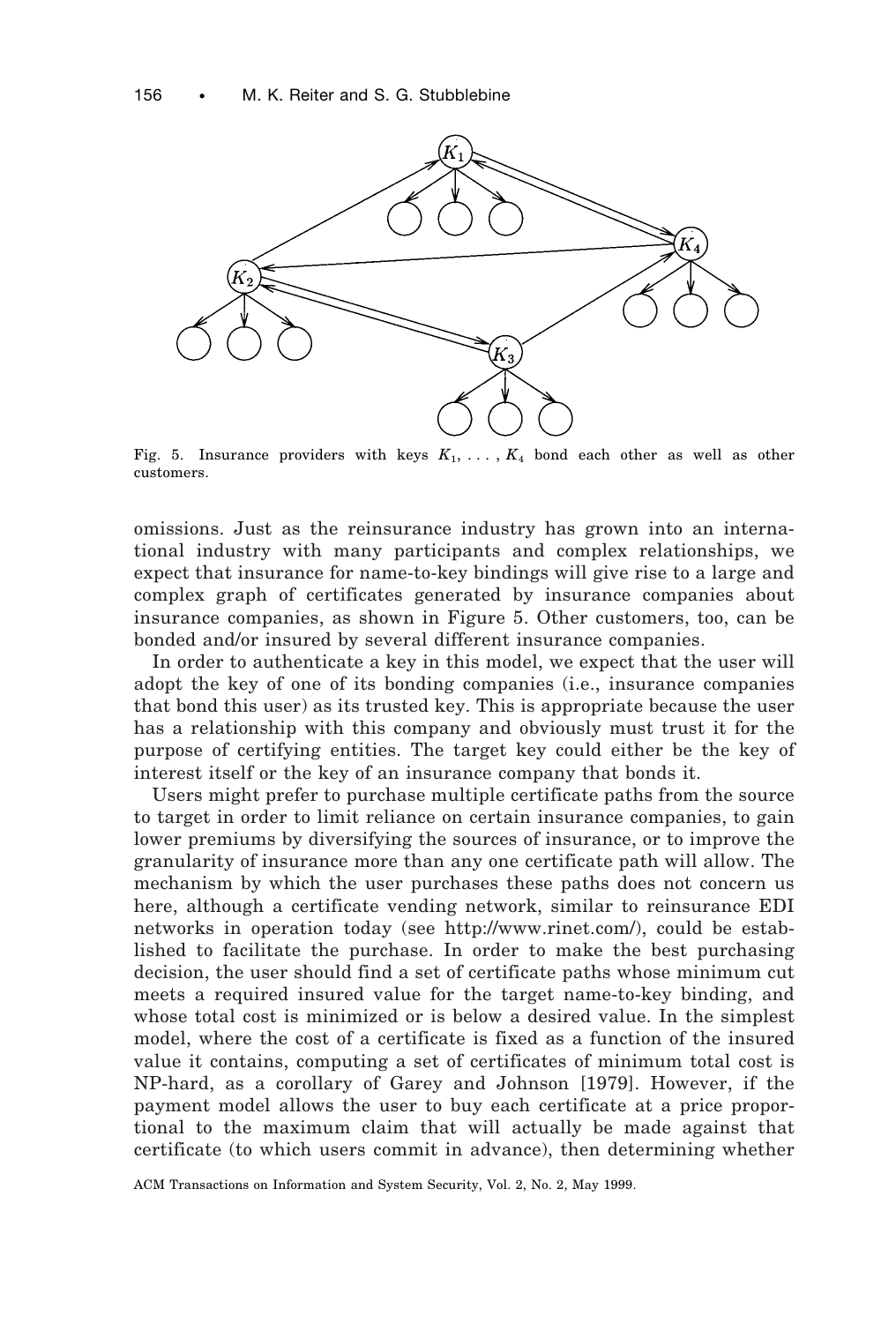

Fig. 5. Insurance providers with keys  $K_1, \ldots, K_4$  bond each other as well as other customers.

omissions. Just as the reinsurance industry has grown into an international industry with many participants and complex relationships, we expect that insurance for name-to-key bindings will give rise to a large and complex graph of certificates generated by insurance companies about insurance companies, as shown in Figure 5. Other customers, too, can be bonded and/or insured by several different insurance companies.

In order to authenticate a key in this model, we expect that the user will adopt the key of one of its bonding companies (i.e., insurance companies that bond this user) as its trusted key. This is appropriate because the user has a relationship with this company and obviously must trust it for the purpose of certifying entities. The target key could either be the key of interest itself or the key of an insurance company that bonds it.

Users might prefer to purchase multiple certificate paths from the source to target in order to limit reliance on certain insurance companies, to gain lower premiums by diversifying the sources of insurance, or to improve the granularity of insurance more than any one certificate path will allow. The mechanism by which the user purchases these paths does not concern us here, although a certificate vending network, similar to reinsurance EDI networks in operation today (see http://www.rinet.com/), could be established to facilitate the purchase. In order to make the best purchasing decision, the user should find a set of certificate paths whose minimum cut meets a required insured value for the target name-to-key binding, and whose total cost is minimized or is below a desired value. In the simplest model, where the cost of a certificate is fixed as a function of the insured value it contains, computing a set of certificates of minimum total cost is NP-hard, as a corollary of Garey and Johnson [1979]. However, if the payment model allows the user to buy each certificate at a price proportional to the maximum claim that will actually be made against that certificate (to which users commit in advance), then determining whether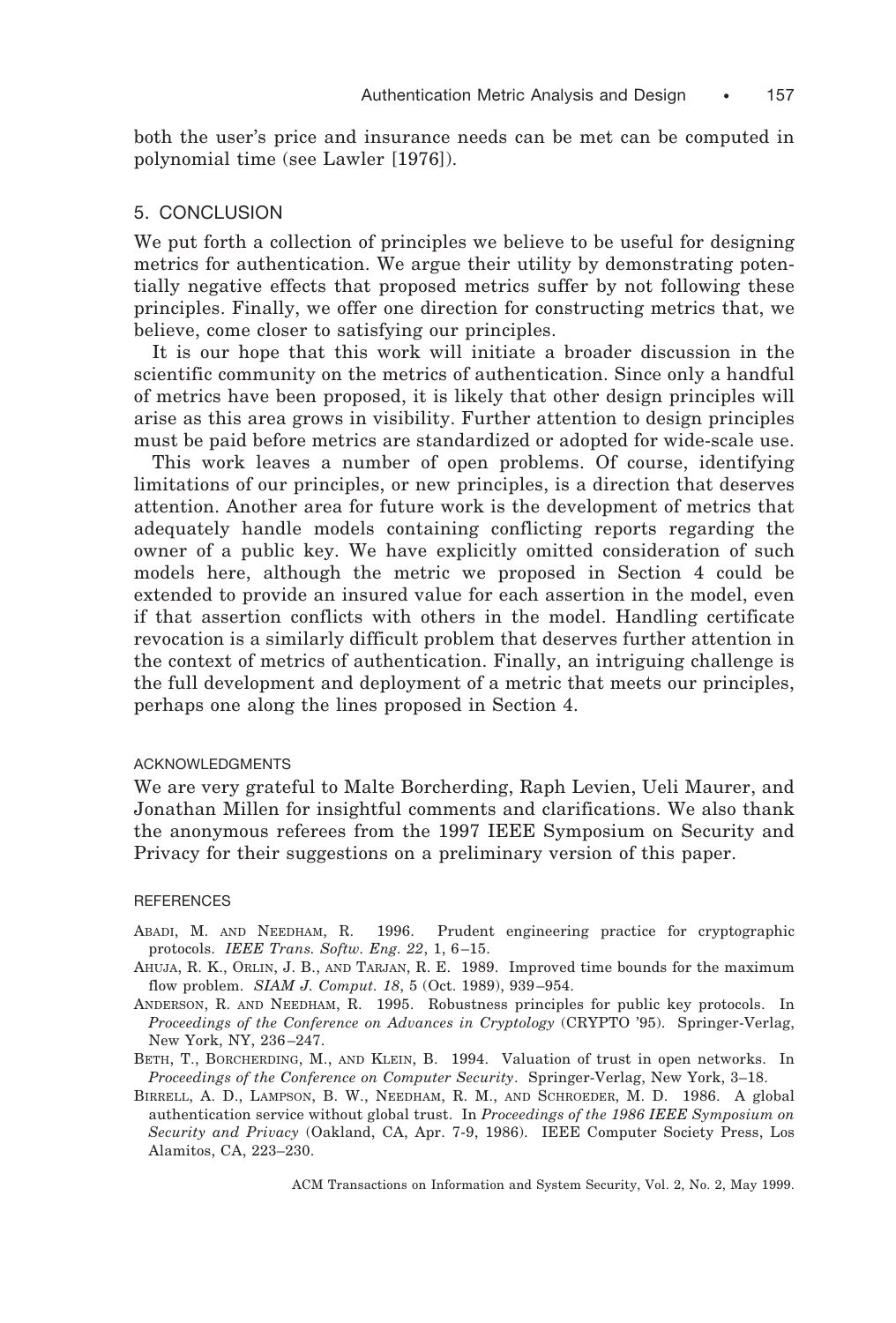both the user's price and insurance needs can be met can be computed in polynomial time (see Lawler [1976]).

## 5. CONCLUSION

We put forth a collection of principles we believe to be useful for designing metrics for authentication. We argue their utility by demonstrating potentially negative effects that proposed metrics suffer by not following these principles. Finally, we offer one direction for constructing metrics that, we believe, come closer to satisfying our principles.

It is our hope that this work will initiate a broader discussion in the scientific community on the metrics of authentication. Since only a handful of metrics have been proposed, it is likely that other design principles will arise as this area grows in visibility. Further attention to design principles must be paid before metrics are standardized or adopted for wide-scale use.

This work leaves a number of open problems. Of course, identifying limitations of our principles, or new principles, is a direction that deserves attention. Another area for future work is the development of metrics that adequately handle models containing conflicting reports regarding the owner of a public key. We have explicitly omitted consideration of such models here, although the metric we proposed in Section 4 could be extended to provide an insured value for each assertion in the model, even if that assertion conflicts with others in the model. Handling certificate revocation is a similarly difficult problem that deserves further attention in the context of metrics of authentication. Finally, an intriguing challenge is the full development and deployment of a metric that meets our principles, perhaps one along the lines proposed in Section 4.

#### ACKNOWLEDGMENTS

We are very grateful to Malte Borcherding, Raph Levien, Ueli Maurer, and Jonathan Millen for insightful comments and clarifications. We also thank the anonymous referees from the 1997 IEEE Symposium on Security and Privacy for their suggestions on a preliminary version of this paper.

#### **REFERENCES**

- ABADI, M. AND NEEDHAM, R. 1996. Prudent engineering practice for cryptographic protocols. *IEEE Trans. Softw. Eng. 22*, 1, 6–15.
- AHUJA, R. K., ORLIN, J. B., AND TARJAN, R. E. 1989. Improved time bounds for the maximum flow problem. *SIAM J. Comput. 18*, 5 (Oct. 1989), 939–954.
- ANDERSON, R. AND NEEDHAM, R. 1995. Robustness principles for public key protocols. In *Proceedings of the Conference on Advances in Cryptology* (CRYPTO '95). Springer-Verlag, New York, NY, 236–247.
- BETH, T., BORCHERDING, M., AND KLEIN, B. 1994. Valuation of trust in open networks. In *Proceedings of the Conference on Computer Security*. Springer-Verlag, New York, 3–18.
- BIRRELL, A. D., LAMPSON, B. W., NEEDHAM, R. M., AND SCHROEDER, M. D. 1986. A global authentication service without global trust. In *Proceedings of the 1986 IEEE Symposium on Security and Privacy* (Oakland, CA, Apr. 7-9, 1986). IEEE Computer Society Press, Los Alamitos, CA, 223–230.